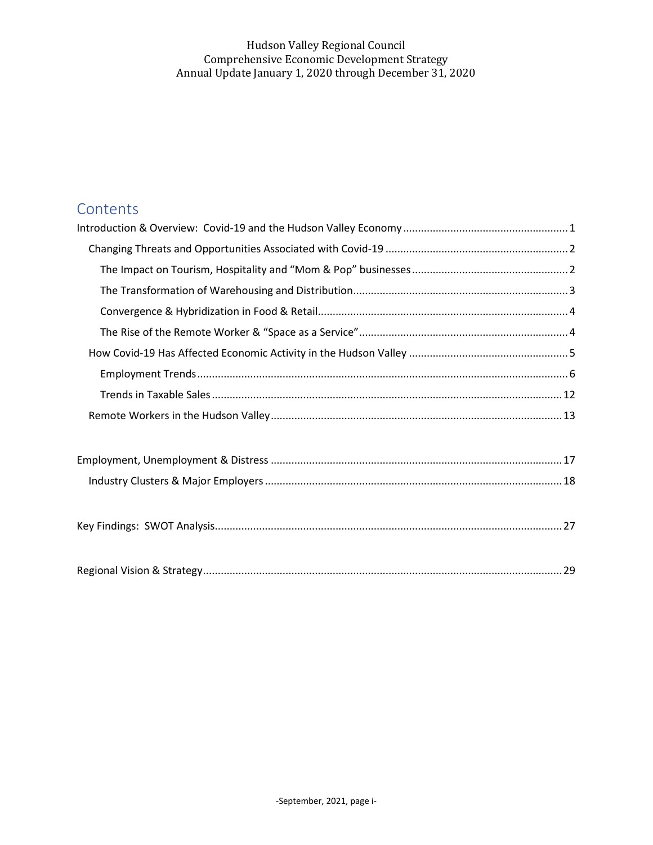# Contents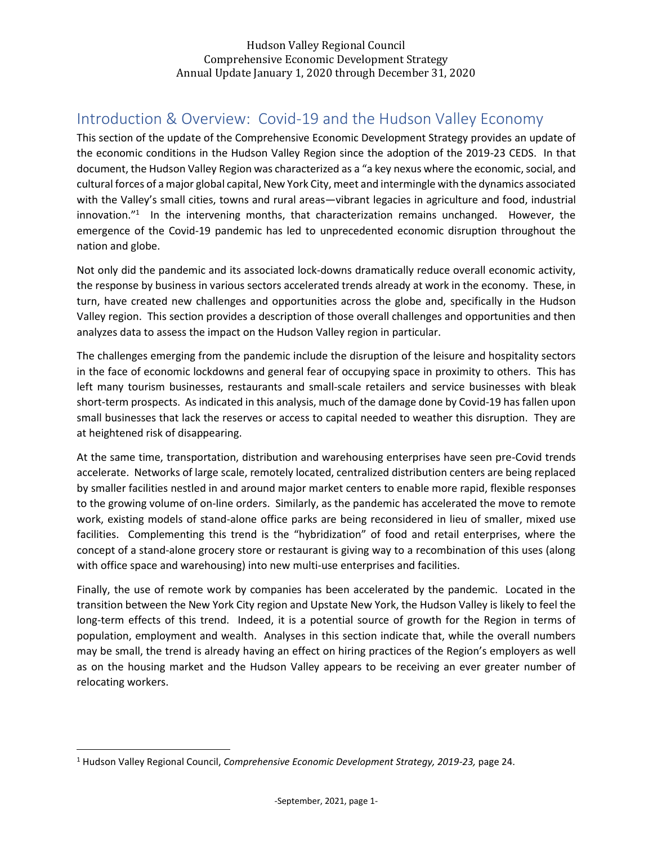# <span id="page-1-0"></span>Introduction & Overview: Covid-19 and the Hudson Valley Economy

This section of the update of the Comprehensive Economic Development Strategy provides an update of the economic conditions in the Hudson Valley Region since the adoption of the 2019-23 CEDS. In that document, the Hudson Valley Region was characterized as a "a key nexus where the economic, social, and cultural forces of a major global capital, New York City, meet and intermingle with the dynamics associated with the Valley's small cities, towns and rural areas—vibrant legacies in agriculture and food, industrial innovation."<sup>1</sup> In the intervening months, that characterization remains unchanged. However, the emergence of the Covid-19 pandemic has led to unprecedented economic disruption throughout the nation and globe.

Not only did the pandemic and its associated lock-downs dramatically reduce overall economic activity, the response by business in various sectors accelerated trends already at work in the economy. These, in turn, have created new challenges and opportunities across the globe and, specifically in the Hudson Valley region. This section provides a description of those overall challenges and opportunities and then analyzes data to assess the impact on the Hudson Valley region in particular.

The challenges emerging from the pandemic include the disruption of the leisure and hospitality sectors in the face of economic lockdowns and general fear of occupying space in proximity to others. This has left many tourism businesses, restaurants and small-scale retailers and service businesses with bleak short-term prospects. As indicated in this analysis, much of the damage done by Covid-19 has fallen upon small businesses that lack the reserves or access to capital needed to weather this disruption. They are at heightened risk of disappearing.

At the same time, transportation, distribution and warehousing enterprises have seen pre-Covid trends accelerate. Networks of large scale, remotely located, centralized distribution centers are being replaced by smaller facilities nestled in and around major market centers to enable more rapid, flexible responses to the growing volume of on-line orders. Similarly, as the pandemic has accelerated the move to remote work, existing models of stand-alone office parks are being reconsidered in lieu of smaller, mixed use facilities. Complementing this trend is the "hybridization" of food and retail enterprises, where the concept of a stand-alone grocery store or restaurant is giving way to a recombination of this uses (along with office space and warehousing) into new multi-use enterprises and facilities.

Finally, the use of remote work by companies has been accelerated by the pandemic. Located in the transition between the New York City region and Upstate New York, the Hudson Valley is likely to feel the long-term effects of this trend. Indeed, it is a potential source of growth for the Region in terms of population, employment and wealth. Analyses in this section indicate that, while the overall numbers may be small, the trend is already having an effect on hiring practices of the Region's employers as well as on the housing market and the Hudson Valley appears to be receiving an ever greater number of relocating workers.

<sup>1</sup> Hudson Valley Regional Council, *Comprehensive Economic Development Strategy, 2019-23,* page 24.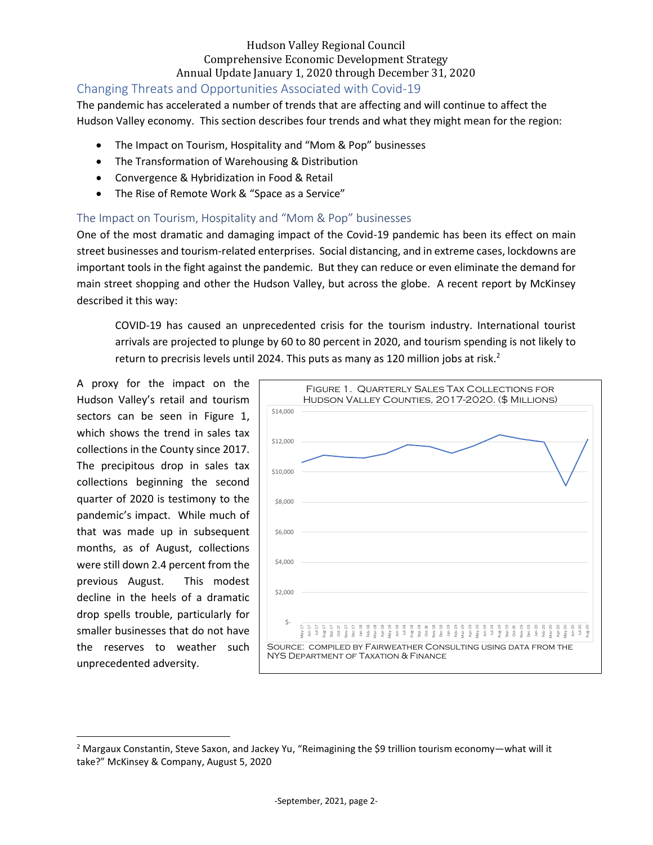## <span id="page-2-0"></span>Changing Threats and Opportunities Associated with Covid-19

The pandemic has accelerated a number of trends that are affecting and will continue to affect the Hudson Valley economy. This section describes four trends and what they might mean for the region:

- The Impact on Tourism, Hospitality and "Mom & Pop" businesses
- The Transformation of Warehousing & Distribution
- Convergence & Hybridization in Food & Retail
- The Rise of Remote Work & "Space as a Service"

## <span id="page-2-1"></span>The Impact on Tourism, Hospitality and "Mom & Pop" businesses

One of the most dramatic and damaging impact of the Covid-19 pandemic has been its effect on main street businesses and tourism-related enterprises. Social distancing, and in extreme cases, lockdowns are important tools in the fight against the pandemic. But they can reduce or even eliminate the demand for main street shopping and other the Hudson Valley, but across the globe. A recent report by McKinsey described it this way:

COVID-19 has caused an unprecedented crisis for the tourism industry. International tourist arrivals are projected to plunge by 60 to 80 percent in 2020, and tourism spending is not likely to return to precrisis levels until 2024. This puts as many as 120 million jobs at risk.<sup>2</sup>

A proxy for the impact on the Hudson Valley's retail and tourism sectors can be seen in Figure 1, which shows the trend in sales tax collections in the County since 2017. The precipitous drop in sales tax collections beginning the second quarter of 2020 is testimony to the pandemic's impact. While much of that was made up in subsequent months, as of August, collections were still down 2.4 percent from the previous August. This modest decline in the heels of a dramatic drop spells trouble, particularly for smaller businesses that do not have the reserves to weather such unprecedented adversity.



<sup>&</sup>lt;sup>2</sup> Margaux Constantin, Steve Saxon, and Jackey Yu, "Reimagining the \$9 trillion tourism economy—what will it take?" McKinsey & Company, August 5, 2020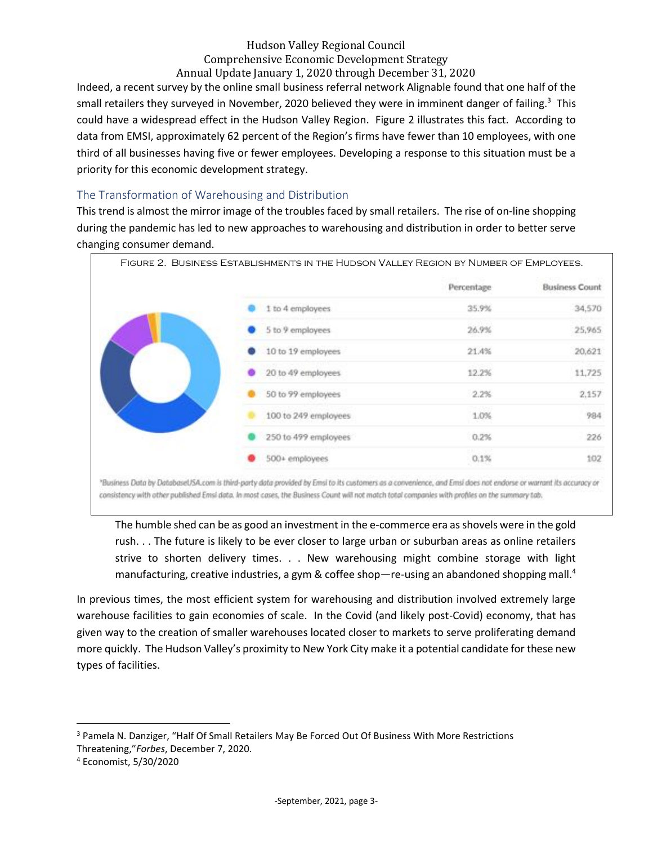Indeed, a recent survey by the online small business referral network Alignable found that one half of the small retailers they surveyed in November, 2020 believed they were in imminent danger of failing.<sup>3</sup> This could have a widespread effect in the Hudson Valley Region. Figure 2 illustrates this fact. According to data from EMSI, approximately 62 percent of the Region's firms have fewer than 10 employees, with one third of all businesses having five or fewer employees. Developing a response to this situation must be a priority for this economic development strategy.

## <span id="page-3-0"></span>The Transformation of Warehousing and Distribution

This trend is almost the mirror image of the troubles faced by small retailers. The rise of on-line shopping during the pandemic has led to new approaches to warehousing and distribution in order to better serve changing consumer demand.



consistency with other published Emsi data. In most cases, the Business Count will not match total companies with profiles on the summary tab.

The humble shed can be as good an investment in the e-commerce era as shovels were in the gold rush. . . The future is likely to be ever closer to large urban or suburban areas as online retailers strive to shorten delivery times. . . New warehousing might combine storage with light manufacturing, creative industries, a gym & coffee shop-re-using an abandoned shopping mall.<sup>4</sup>

In previous times, the most efficient system for warehousing and distribution involved extremely large warehouse facilities to gain economies of scale. In the Covid (and likely post-Covid) economy, that has given way to the creation of smaller warehouses located closer to markets to serve proliferating demand more quickly. The Hudson Valley's proximity to New York City make it a potential candidate for these new types of facilities.

<sup>&</sup>lt;sup>3</sup> Pamela N. Danziger, "Half Of Small Retailers May Be Forced Out Of Business With More Restrictions Threatening,"*Forbes*, December 7, 2020.

<sup>4</sup> Economist, 5/30/2020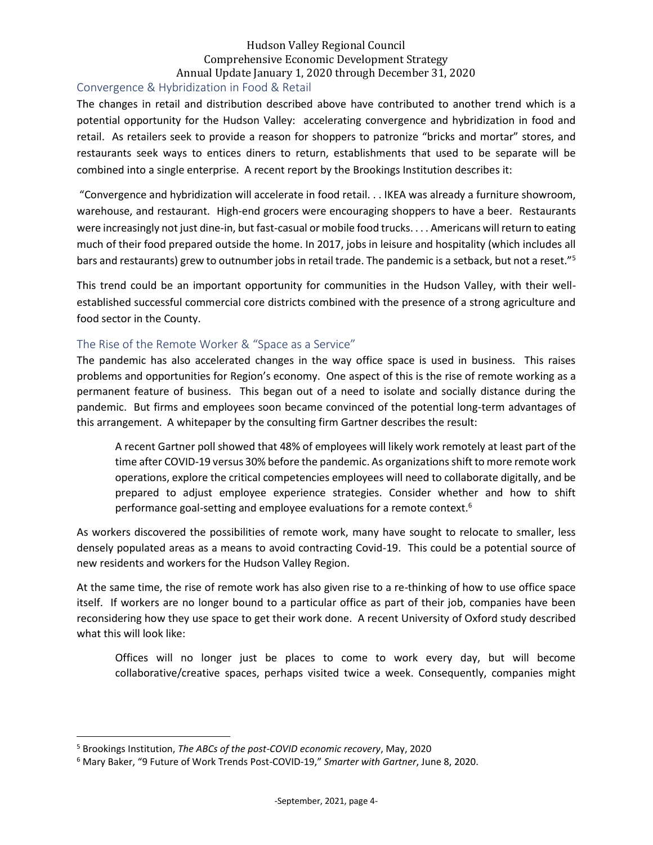### <span id="page-4-0"></span>Convergence & Hybridization in Food & Retail

The changes in retail and distribution described above have contributed to another trend which is a potential opportunity for the Hudson Valley: accelerating convergence and hybridization in food and retail. As retailers seek to provide a reason for shoppers to patronize "bricks and mortar" stores, and restaurants seek ways to entices diners to return, establishments that used to be separate will be combined into a single enterprise. A recent report by the Brookings Institution describes it:

"Convergence and hybridization will accelerate in food retail. . . IKEA was already a furniture showroom, warehouse, and restaurant. High-end grocers were encouraging shoppers to have a beer. Restaurants were increasingly not just dine-in, but fast-casual or mobile food trucks. . . . Americans will return to eating much of their food prepared outside the home. In 2017, jobs in leisure and hospitality (which includes all bars and restaurants) grew to outnumber jobs in retail trade. The pandemic is a setback, but not a reset."<sup>5</sup>

This trend could be an important opportunity for communities in the Hudson Valley, with their wellestablished successful commercial core districts combined with the presence of a strong agriculture and food sector in the County.

### <span id="page-4-1"></span>The Rise of the Remote Worker & "Space as a Service"

The pandemic has also accelerated changes in the way office space is used in business. This raises problems and opportunities for Region's economy. One aspect of this is the rise of remote working as a permanent feature of business. This began out of a need to isolate and socially distance during the pandemic. But firms and employees soon became convinced of the potential long-term advantages of this arrangement. A whitepaper by the consulting firm Gartner describes the result:

A recent Gartner poll showed that 48% of employees will likely work remotely at least part of the time after COVID-19 versus 30% before the pandemic. As organizations shift to more remote work operations, explore the critical competencies employees will need to collaborate digitally, and be prepared to adjust employee experience strategies. Consider whether and how to shift performance goal-setting and employee evaluations for a remote context.<sup>6</sup>

As workers discovered the possibilities of remote work, many have sought to relocate to smaller, less densely populated areas as a means to avoid contracting Covid-19. This could be a potential source of new residents and workers for the Hudson Valley Region.

At the same time, the rise of remote work has also given rise to a re-thinking of how to use office space itself. If workers are no longer bound to a particular office as part of their job, companies have been reconsidering how they use space to get their work done. A recent University of Oxford study described what this will look like:

Offices will no longer just be places to come to work every day, but will become collaborative/creative spaces, perhaps visited twice a week. Consequently, companies might

<sup>5</sup> Brookings Institution, *The ABCs of the post-COVID economic recovery*, May, 2020

<sup>6</sup> Mary Baker, "9 Future of Work Trends Post-COVID-19," *Smarter with Gartner*, June 8, 2020.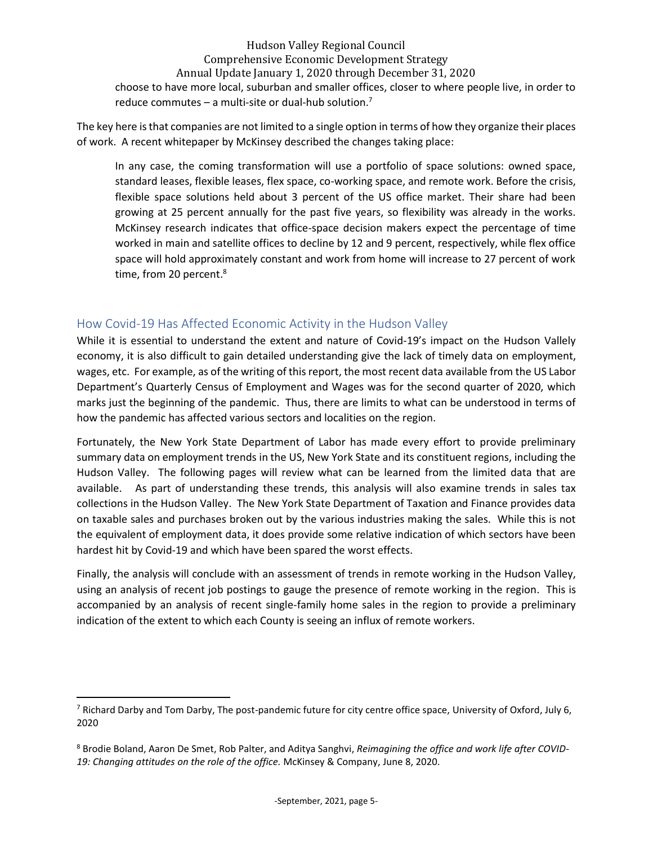Hudson Valley Regional Council Comprehensive Economic Development Strategy Annual Update January 1, 2020 through December 31, 2020 choose to have more local, suburban and smaller offices, closer to where people live, in order to reduce commutes – a multi-site or dual-hub solution.<sup>7</sup>

The key here is that companies are not limited to a single option in terms of how they organize their places of work. A recent whitepaper by McKinsey described the changes taking place:

In any case, the coming transformation will use a portfolio of space solutions: owned space, standard leases, flexible leases, flex space, co-working space, and remote work. Before the crisis, flexible space solutions held about 3 percent of the US office market. Their share had been growing at 25 percent annually for the past five years, so flexibility was already in the works. McKinsey research indicates that office-space decision makers expect the percentage of time worked in main and satellite offices to decline by 12 and 9 percent, respectively, while flex office space will hold approximately constant and work from home will increase to 27 percent of work time, from 20 percent. 8

## <span id="page-5-0"></span>How Covid-19 Has Affected Economic Activity in the Hudson Valley

While it is essential to understand the extent and nature of Covid-19's impact on the Hudson Vallely economy, it is also difficult to gain detailed understanding give the lack of timely data on employment, wages, etc. For example, as of the writing of this report, the most recent data available from the US Labor Department's Quarterly Census of Employment and Wages was for the second quarter of 2020, which marks just the beginning of the pandemic. Thus, there are limits to what can be understood in terms of how the pandemic has affected various sectors and localities on the region.

Fortunately, the New York State Department of Labor has made every effort to provide preliminary summary data on employment trends in the US, New York State and its constituent regions, including the Hudson Valley. The following pages will review what can be learned from the limited data that are available. As part of understanding these trends, this analysis will also examine trends in sales tax collections in the Hudson Valley. The New York State Department of Taxation and Finance provides data on taxable sales and purchases broken out by the various industries making the sales. While this is not the equivalent of employment data, it does provide some relative indication of which sectors have been hardest hit by Covid-19 and which have been spared the worst effects.

Finally, the analysis will conclude with an assessment of trends in remote working in the Hudson Valley, using an analysis of recent job postings to gauge the presence of remote working in the region. This is accompanied by an analysis of recent single-family home sales in the region to provide a preliminary indication of the extent to which each County is seeing an influx of remote workers.

<sup>&</sup>lt;sup>7</sup> Richard Darby and Tom Darby, The post-pandemic future for city centre office space, University of Oxford, July 6, 2020

<sup>8</sup> Brodie Boland, Aaron De Smet, Rob Palter, and Aditya Sanghvi, *Reimagining the office and work life after COVID-19: Changing attitudes on the role of the office.* McKinsey & Company, June 8, 2020.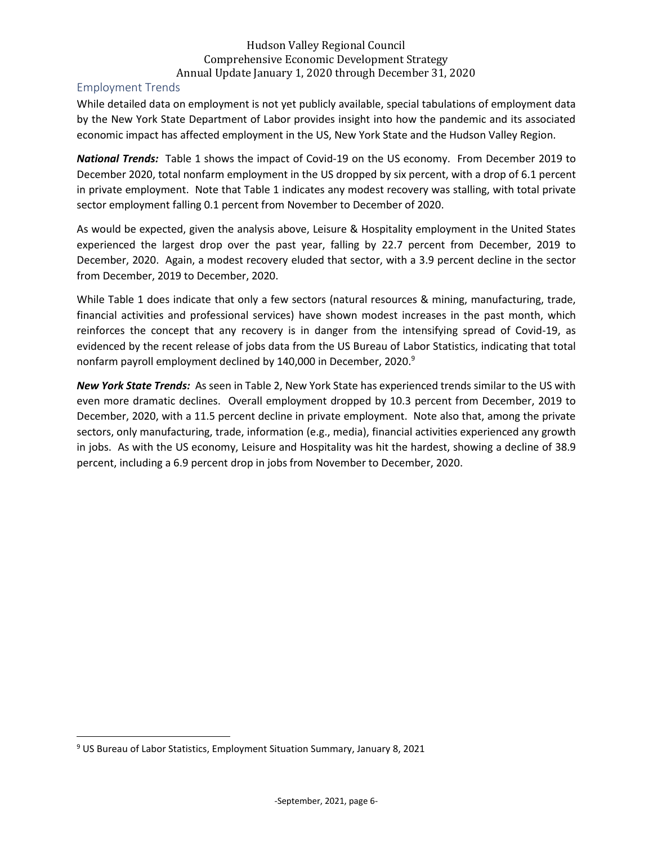## <span id="page-6-0"></span>Employment Trends

While detailed data on employment is not yet publicly available, special tabulations of employment data by the New York State Department of Labor provides insight into how the pandemic and its associated economic impact has affected employment in the US, New York State and the Hudson Valley Region.

*National Trends:* Table 1 shows the impact of Covid-19 on the US economy. From December 2019 to December 2020, total nonfarm employment in the US dropped by six percent, with a drop of 6.1 percent in private employment. Note that Table 1 indicates any modest recovery was stalling, with total private sector employment falling 0.1 percent from November to December of 2020.

As would be expected, given the analysis above, Leisure & Hospitality employment in the United States experienced the largest drop over the past year, falling by 22.7 percent from December, 2019 to December, 2020. Again, a modest recovery eluded that sector, with a 3.9 percent decline in the sector from December, 2019 to December, 2020.

While Table 1 does indicate that only a few sectors (natural resources & mining, manufacturing, trade, financial activities and professional services) have shown modest increases in the past month, which reinforces the concept that any recovery is in danger from the intensifying spread of Covid-19, as evidenced by the recent release of jobs data from the US Bureau of Labor Statistics, indicating that total nonfarm payroll employment declined by 140,000 in December, 2020.<sup>9</sup>

*New York State Trends:* As seen in Table 2, New York State has experienced trends similar to the US with even more dramatic declines. Overall employment dropped by 10.3 percent from December, 2019 to December, 2020, with a 11.5 percent decline in private employment. Note also that, among the private sectors, only manufacturing, trade, information (e.g., media), financial activities experienced any growth in jobs. As with the US economy, Leisure and Hospitality was hit the hardest, showing a decline of 38.9 percent, including a 6.9 percent drop in jobs from November to December, 2020.

<sup>9</sup> US Bureau of Labor Statistics, Employment Situation Summary, January 8, 2021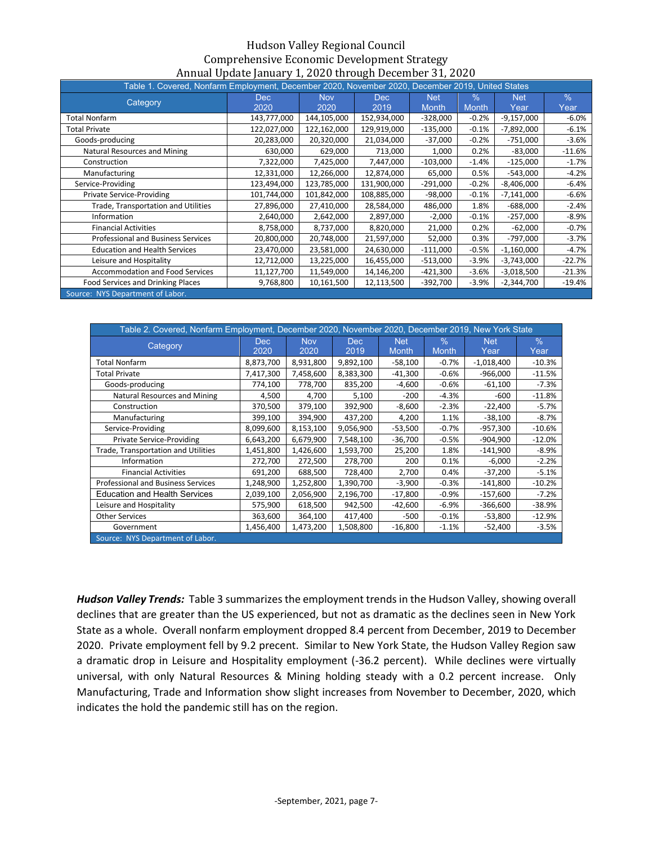| Table 1. Covered, Nonfarm Employment, December 2020, November 2020, December 2019, United States |             |             |             |              |              |              |          |
|--------------------------------------------------------------------------------------------------|-------------|-------------|-------------|--------------|--------------|--------------|----------|
| Category                                                                                         | <b>Dec</b>  | <b>Nov</b>  | <b>Dec</b>  | <b>Net</b>   | $\%$         | <b>Net</b>   | $\%$     |
|                                                                                                  | 2020        | 2020        | 2019        | <b>Month</b> | <b>Month</b> | Year         | Year     |
| <b>Total Nonfarm</b>                                                                             | 143,777,000 | 144,105,000 | 152,934,000 | $-328,000$   | $-0.2%$      | $-9,157,000$ | $-6.0%$  |
| <b>Total Private</b>                                                                             | 122,027,000 | 122,162,000 | 129,919,000 | $-135,000$   | $-0.1%$      | $-7,892,000$ | $-6.1%$  |
| Goods-producing                                                                                  | 20,283,000  | 20,320,000  | 21,034,000  | $-37,000$    | $-0.2%$      | $-751,000$   | $-3.6%$  |
| Natural Resources and Mining                                                                     | 630,000     | 629,000     | 713,000     | 1,000        | 0.2%         | $-83,000$    | $-11.6%$ |
| Construction                                                                                     | 7,322,000   | 7,425,000   | 7,447,000   | $-103,000$   | $-1.4%$      | $-125,000$   | $-1.7%$  |
| Manufacturing                                                                                    | 12,331,000  | 12,266,000  | 12,874,000  | 65,000       | 0.5%         | $-543,000$   | $-4.2%$  |
| Service-Providing                                                                                | 123,494,000 | 123,785,000 | 131,900,000 | $-291,000$   | $-0.2%$      | $-8,406,000$ | $-6.4%$  |
| <b>Private Service-Providing</b>                                                                 | 101,744,000 | 101,842,000 | 108,885,000 | $-98,000$    | $-0.1%$      | $-7,141,000$ | $-6.6%$  |
| Trade, Transportation and Utilities                                                              | 27,896,000  | 27,410,000  | 28,584,000  | 486,000      | 1.8%         | $-688,000$   | $-2.4%$  |
| Information                                                                                      | 2,640,000   | 2,642,000   | 2,897,000   | $-2,000$     | $-0.1%$      | $-257,000$   | $-8.9%$  |
| <b>Financial Activities</b>                                                                      | 8,758,000   | 8,737,000   | 8,820,000   | 21,000       | 0.2%         | $-62,000$    | $-0.7%$  |
| Professional and Business Services                                                               | 20,800,000  | 20,748,000  | 21,597,000  | 52,000       | 0.3%         | $-797,000$   | $-3.7%$  |
| <b>Education and Health Services</b>                                                             | 23,470,000  | 23,581,000  | 24,630,000  | $-111,000$   | $-0.5%$      | $-1,160,000$ | $-4.7%$  |
| Leisure and Hospitality                                                                          | 12,712,000  | 13,225,000  | 16,455,000  | $-513,000$   | $-3.9%$      | $-3,743,000$ | $-22.7%$ |
| <b>Accommodation and Food Services</b>                                                           | 11,127,700  | 11,549,000  | 14,146,200  | $-421,300$   | $-3.6%$      | $-3,018,500$ | $-21.3%$ |
| Food Services and Drinking Places                                                                | 9,768,800   | 10,161,500  | 12,113,500  | $-392,700$   | $-3.9%$      | $-2,344,700$ | $-19.4%$ |
| Source: NYS Department of Labor.                                                                 |             |             |             |              |              |              |          |

|                                           | Table 2. Covered, Nonfarm Employment, December 2020, November 2020, December 2019, New York State |            |           |              |              |              |          |  |  |  |  |  |  |
|-------------------------------------------|---------------------------------------------------------------------------------------------------|------------|-----------|--------------|--------------|--------------|----------|--|--|--|--|--|--|
| Category                                  | Dec.                                                                                              | <b>Nov</b> | Dec.      | <b>Net</b>   | $\%$         | <b>Net</b>   | $\%$     |  |  |  |  |  |  |
|                                           | 2020                                                                                              | 2020       | 2019      | <b>Month</b> | <b>Month</b> | Year         | Year     |  |  |  |  |  |  |
| <b>Total Nonfarm</b>                      | 8,873,700                                                                                         | 8,931,800  | 9,892,100 | $-58,100$    | $-0.7%$      | $-1,018,400$ | $-10.3%$ |  |  |  |  |  |  |
| <b>Total Private</b>                      | 7,417,300                                                                                         | 7,458,600  | 8,383,300 | $-41,300$    | $-0.6%$      | $-966,000$   | $-11.5%$ |  |  |  |  |  |  |
| Goods-producing                           | 774,100                                                                                           | 778,700    | 835,200   | $-4,600$     | $-0.6%$      | $-61,100$    | $-7.3%$  |  |  |  |  |  |  |
| Natural Resources and Mining              | 4,500                                                                                             | 4,700      | 5,100     | $-200$       | $-4.3%$      | $-600$       | $-11.8%$ |  |  |  |  |  |  |
| Construction                              | 370,500                                                                                           | 379,100    | 392,900   | $-8,600$     | $-2.3%$      | $-22,400$    | $-5.7%$  |  |  |  |  |  |  |
| Manufacturing                             | 399,100                                                                                           | 394,900    | 437,200   | 4,200        | 1.1%         | $-38,100$    | $-8.7%$  |  |  |  |  |  |  |
| Service-Providing                         | 8,099,600                                                                                         | 8,153,100  | 9,056,900 | $-53,500$    | $-0.7%$      | $-957,300$   | $-10.6%$ |  |  |  |  |  |  |
| <b>Private Service-Providing</b>          | 6,643,200                                                                                         | 6,679,900  | 7,548,100 | $-36,700$    | $-0.5%$      | -904,900     | $-12.0%$ |  |  |  |  |  |  |
| Trade, Transportation and Utilities       | 1,451,800                                                                                         | 1,426,600  | 1,593,700 | 25,200       | 1.8%         | $-141,900$   | $-8.9%$  |  |  |  |  |  |  |
| Information                               | 272,700                                                                                           | 272,500    | 278,700   | 200          | 0.1%         | $-6,000$     | $-2.2%$  |  |  |  |  |  |  |
| <b>Financial Activities</b>               | 691,200                                                                                           | 688,500    | 728,400   | 2,700        | 0.4%         | $-37,200$    | $-5.1%$  |  |  |  |  |  |  |
| <b>Professional and Business Services</b> | 1,248,900                                                                                         | 1,252,800  | 1,390,700 | $-3,900$     | $-0.3%$      | $-141,800$   | $-10.2%$ |  |  |  |  |  |  |
| <b>Education and Health Services</b>      | 2,039,100                                                                                         | 2,056,900  | 2,196,700 | $-17,800$    | $-0.9%$      | $-157,600$   | $-7.2%$  |  |  |  |  |  |  |
| Leisure and Hospitality                   | 575,900                                                                                           | 618,500    | 942,500   | -42,600      | $-6.9%$      | $-366,600$   | $-38.9%$ |  |  |  |  |  |  |
| <b>Other Services</b>                     | 363,600                                                                                           | 364,100    | 417,400   | -500         | $-0.1%$      | $-53,800$    | $-12.9%$ |  |  |  |  |  |  |
| Government                                | 1,456,400                                                                                         | 1,473,200  | 1,508,800 | $-16,800$    | $-1.1%$      | $-52,400$    | $-3.5%$  |  |  |  |  |  |  |
| Source: NYS Department of Labor.          |                                                                                                   |            |           |              |              |              |          |  |  |  |  |  |  |

*Hudson Valley Trends:* Table 3 summarizes the employment trends in the Hudson Valley, showing overall declines that are greater than the US experienced, but not as dramatic as the declines seen in New York State as a whole. Overall nonfarm employment dropped 8.4 percent from December, 2019 to December 2020. Private employment fell by 9.2 precent. Similar to New York State, the Hudson Valley Region saw a dramatic drop in Leisure and Hospitality employment (-36.2 percent). While declines were virtually universal, with only Natural Resources & Mining holding steady with a 0.2 percent increase. Only Manufacturing, Trade and Information show slight increases from November to December, 2020, which indicates the hold the pandemic still has on the region.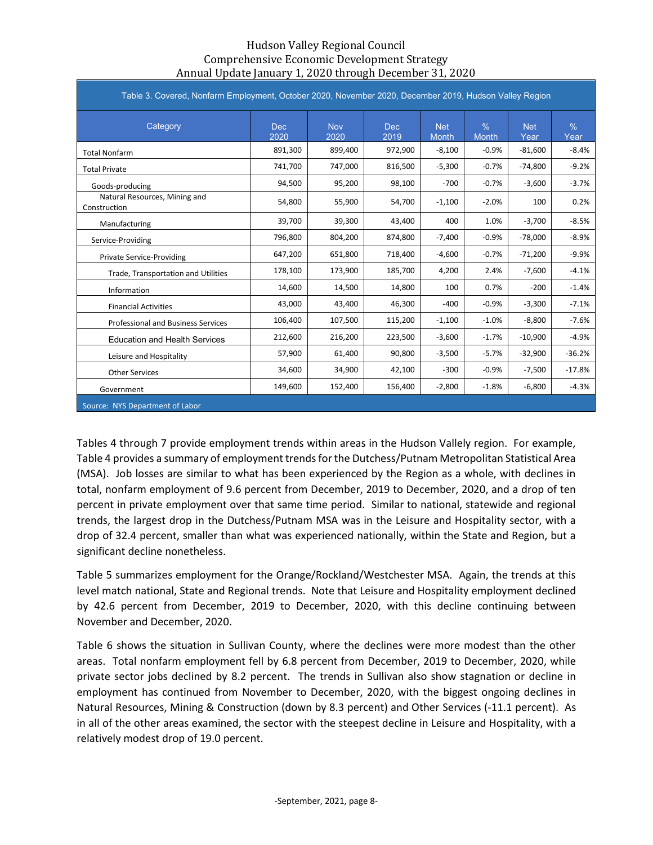| Table 3. Covered, Nonfarm Employment, October 2020, November 2020, December 2019, Hudson Valley Region |                    |                    |              |                            |                               |                    |                       |
|--------------------------------------------------------------------------------------------------------|--------------------|--------------------|--------------|----------------------------|-------------------------------|--------------------|-----------------------|
| Category                                                                                               | <b>Dec</b><br>2020 | <b>Nov</b><br>2020 | Dec.<br>2019 | <b>Net</b><br><b>Month</b> | $\frac{0}{0}$<br><b>Month</b> | <b>Net</b><br>Year | $\frac{0}{0}$<br>Year |
| <b>Total Nonfarm</b>                                                                                   | 891,300            | 899,400            | 972,900      | $-8,100$                   | $-0.9%$                       | $-81,600$          | $-8.4%$               |
| <b>Total Private</b>                                                                                   | 741,700            | 747,000            | 816,500      | $-5,300$                   | $-0.7%$                       | $-74,800$          | $-9.2%$               |
| Goods-producing                                                                                        | 94,500             | 95,200             | 98,100       | $-700$                     | $-0.7%$                       | $-3.600$           | $-3.7%$               |
| Natural Resources, Mining and<br>Construction                                                          | 54,800             | 55,900             | 54,700       | $-1,100$                   | $-2.0%$                       | 100                | 0.2%                  |
| Manufacturing                                                                                          | 39,700             | 39,300             | 43,400       | 400                        | 1.0%                          | $-3,700$           | $-8.5%$               |
| Service-Providing                                                                                      | 796,800            | 804,200            | 874,800      | $-7,400$                   | $-0.9%$                       | $-78,000$          | $-8.9%$               |
| <b>Private Service-Providing</b>                                                                       | 647,200            | 651,800            | 718,400      | $-4,600$                   | $-0.7%$                       | $-71,200$          | $-9.9%$               |
| Trade, Transportation and Utilities                                                                    | 178,100            | 173,900            | 185,700      | 4,200                      | 2.4%                          | $-7,600$           | $-4.1%$               |
| Information                                                                                            | 14,600             | 14,500             | 14,800       | 100                        | 0.7%                          | $-200$             | $-1.4%$               |
| <b>Financial Activities</b>                                                                            | 43,000             | 43,400             | 46,300       | $-400$                     | $-0.9%$                       | $-3,300$           | $-7.1%$               |
| <b>Professional and Business Services</b>                                                              | 106,400            | 107,500            | 115,200      | $-1,100$                   | $-1.0%$                       | $-8,800$           | $-7.6%$               |
| <b>Education and Health Services</b>                                                                   | 212,600            | 216,200            | 223,500      | $-3,600$                   | $-1.7%$                       | $-10,900$          | $-4.9%$               |
| Leisure and Hospitality                                                                                | 57,900             | 61,400             | 90,800       | $-3,500$                   | $-5.7%$                       | $-32,900$          | $-36.2%$              |
| <b>Other Services</b>                                                                                  | 34,600             | 34,900             | 42,100       | $-300$                     | $-0.9%$                       | $-7,500$           | $-17.8%$              |
| Government                                                                                             | 149,600            | 152,400            | 156,400      | $-2,800$                   | $-1.8%$                       | $-6,800$           | $-4.3%$               |
| Source: NYS Department of Labor                                                                        |                    |                    |              |                            |                               |                    |                       |

Tables 4 through 7 provide employment trends within areas in the Hudson Vallely region. For example, Table 4 provides a summary of employment trends for the Dutchess/Putnam Metropolitan Statistical Area (MSA). Job losses are similar to what has been experienced by the Region as a whole, with declines in total, nonfarm employment of 9.6 percent from December, 2019 to December, 2020, and a drop of ten percent in private employment over that same time period. Similar to national, statewide and regional trends, the largest drop in the Dutchess/Putnam MSA was in the Leisure and Hospitality sector, with a drop of 32.4 percent, smaller than what was experienced nationally, within the State and Region, but a significant decline nonetheless.

Table 5 summarizes employment for the Orange/Rockland/Westchester MSA. Again, the trends at this level match national, State and Regional trends. Note that Leisure and Hospitality employment declined by 42.6 percent from December, 2019 to December, 2020, with this decline continuing between November and December, 2020.

Table 6 shows the situation in Sullivan County, where the declines were more modest than the other areas. Total nonfarm employment fell by 6.8 percent from December, 2019 to December, 2020, while private sector jobs declined by 8.2 percent. The trends in Sullivan also show stagnation or decline in employment has continued from November to December, 2020, with the biggest ongoing declines in Natural Resources, Mining & Construction (down by 8.3 percent) and Other Services (-11.1 percent). As in all of the other areas examined, the sector with the steepest decline in Leisure and Hospitality, with a relatively modest drop of 19.0 percent.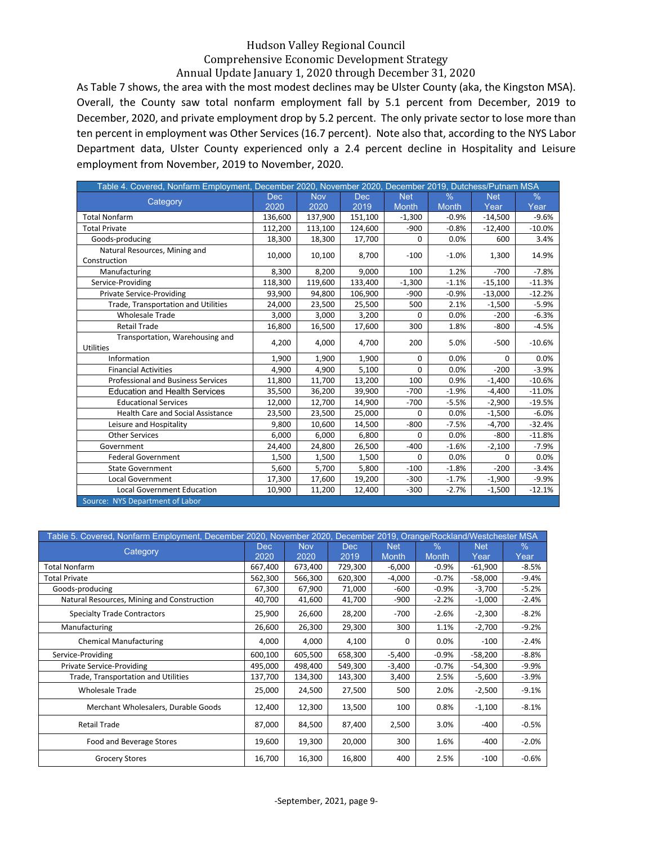As Table 7 shows, the area with the most modest declines may be Ulster County (aka, the Kingston MSA). Overall, the County saw total nonfarm employment fall by 5.1 percent from December, 2019 to December, 2020, and private employment drop by 5.2 percent. The only private sector to lose more than ten percent in employment was Other Services (16.7 percent). Note also that, according to the NYS Labor Department data, Ulster County experienced only a 2.4 percent decline in Hospitality and Leisure employment from November, 2019 to November, 2020.

| Table 4. Covered, Nonfarm Employment, December 2020, November 2020, December 2019, Dutchess/Putnam MSA |            |            |            |              |              |            |          |
|--------------------------------------------------------------------------------------------------------|------------|------------|------------|--------------|--------------|------------|----------|
| Category                                                                                               | <b>Dec</b> | <b>Nov</b> | <b>Dec</b> | <b>Net</b>   | $\%$         | <b>Net</b> | $\%$     |
|                                                                                                        | 2020       | 2020       | 2019       | <b>Month</b> | <b>Month</b> | Year       | Year     |
| <b>Total Nonfarm</b>                                                                                   | 136,600    | 137,900    | 151,100    | $-1,300$     | $-0.9%$      | $-14,500$  | $-9.6%$  |
| <b>Total Private</b>                                                                                   | 112,200    | 113,100    | 124,600    | $-900$       | $-0.8%$      | $-12,400$  | $-10.0%$ |
| Goods-producing                                                                                        | 18,300     | 18,300     | 17,700     | 0            | 0.0%         | 600        | 3.4%     |
| Natural Resources, Mining and                                                                          | 10,000     | 10,100     | 8,700      | $-100$       | $-1.0%$      | 1,300      | 14.9%    |
| Construction                                                                                           |            |            |            |              |              |            |          |
| Manufacturing                                                                                          | 8,300      | 8,200      | 9,000      | 100          | 1.2%         | $-700$     | $-7.8%$  |
| Service-Providing                                                                                      | 118,300    | 119,600    | 133,400    | $-1,300$     | $-1.1%$      | $-15,100$  | $-11.3%$ |
| <b>Private Service-Providing</b>                                                                       | 93,900     | 94,800     | 106,900    | $-900$       | $-0.9%$      | $-13,000$  | $-12.2%$ |
| Trade, Transportation and Utilities                                                                    | 24,000     | 23,500     | 25,500     | 500          | 2.1%         | $-1,500$   | $-5.9%$  |
| <b>Wholesale Trade</b>                                                                                 | 3,000      | 3,000      | 3,200      | 0            | 0.0%         | $-200$     | $-6.3%$  |
| <b>Retail Trade</b>                                                                                    | 16,800     | 16,500     | 17,600     | 300          | 1.8%         | $-800$     | $-4.5%$  |
| Transportation, Warehousing and                                                                        | 4,200      | 4,000      | 4,700      | 200          | 5.0%         | $-500$     | $-10.6%$ |
| <b>Utilities</b>                                                                                       |            |            |            |              |              |            |          |
| Information                                                                                            | 1,900      | 1,900      | 1,900      | 0            | 0.0%         | $\Omega$   | 0.0%     |
| <b>Financial Activities</b>                                                                            | 4,900      | 4,900      | 5,100      | 0            | 0.0%         | $-200$     | $-3.9%$  |
| <b>Professional and Business Services</b>                                                              | 11,800     | 11,700     | 13,200     | 100          | 0.9%         | $-1,400$   | $-10.6%$ |
| <b>Education and Health Services</b>                                                                   | 35,500     | 36,200     | 39,900     | $-700$       | $-1.9%$      | $-4,400$   | $-11.0%$ |
| <b>Educational Services</b>                                                                            | 12,000     | 12,700     | 14,900     | $-700$       | $-5.5%$      | $-2,900$   | $-19.5%$ |
| <b>Health Care and Social Assistance</b>                                                               | 23,500     | 23,500     | 25,000     | 0            | 0.0%         | $-1,500$   | $-6.0%$  |
| Leisure and Hospitality                                                                                | 9,800      | 10,600     | 14,500     | $-800$       | $-7.5%$      | $-4,700$   | $-32.4%$ |
| <b>Other Services</b>                                                                                  | 6.000      | 6,000      | 6,800      | 0            | 0.0%         | $-800$     | $-11.8%$ |
| Government                                                                                             | 24,400     | 24,800     | 26,500     | $-400$       | $-1.6%$      | $-2,100$   | $-7.9%$  |
| <b>Federal Government</b>                                                                              | 1.500      | 1,500      | 1,500      | 0            | 0.0%         | 0          | 0.0%     |
| <b>State Government</b>                                                                                | 5,600      | 5,700      | 5,800      | $-100$       | $-1.8%$      | $-200$     | $-3.4%$  |
| Local Government                                                                                       | 17,300     | 17,600     | 19,200     | $-300$       | $-1.7%$      | $-1,900$   | $-9.9%$  |
| <b>Local Government Education</b>                                                                      | 10,900     | 11,200     | 12,400     | $-300$       | $-2.7%$      | $-1,500$   | $-12.1%$ |
| Source: NYS Department of Labor                                                                        |            |            |            |              |              |            |          |

|                                            |             |                    |                    |                            |                      | Table 5. Covered, Nonfarm Employment, December 2020, November 2020, December 2019, Orange/Rockland/Westchester MSA |              |  |  |  |  |  |  |  |  |  |  |  |
|--------------------------------------------|-------------|--------------------|--------------------|----------------------------|----------------------|--------------------------------------------------------------------------------------------------------------------|--------------|--|--|--|--|--|--|--|--|--|--|--|
| Category                                   | Dec<br>2020 | <b>Nov</b><br>2020 | <b>Dec</b><br>2019 | <b>Net</b><br><b>Month</b> | $\%$<br><b>Month</b> | <b>Net</b><br>Year                                                                                                 | $\%$<br>Year |  |  |  |  |  |  |  |  |  |  |  |
| <b>Total Nonfarm</b>                       | 667,400     | 673,400            | 729,300            | $-6,000$                   | $-0.9%$              | $-61,900$                                                                                                          | $-8.5%$      |  |  |  |  |  |  |  |  |  |  |  |
| Total Private                              | 562,300     | 566,300            | 620,300            | $-4,000$                   | $-0.7%$              | $-58,000$                                                                                                          | $-9.4%$      |  |  |  |  |  |  |  |  |  |  |  |
| Goods-producing                            | 67,300      | 67,900             | 71,000             | $-600$                     | $-0.9%$              | -3,700                                                                                                             | $-5.2%$      |  |  |  |  |  |  |  |  |  |  |  |
| Natural Resources, Mining and Construction | 40,700      | 41,600             | 41,700             | $-900$                     | $-2.2%$              | $-1,000$                                                                                                           | $-2.4%$      |  |  |  |  |  |  |  |  |  |  |  |
| <b>Specialty Trade Contractors</b>         | 25,900      | 26,600             | 28,200             | $-700$                     | $-2.6%$              | $-2,300$                                                                                                           | $-8.2%$      |  |  |  |  |  |  |  |  |  |  |  |
| Manufacturing                              | 26,600      | 26,300             | 29,300             | 300                        | 1.1%                 | $-2,700$                                                                                                           | $-9.2%$      |  |  |  |  |  |  |  |  |  |  |  |
| <b>Chemical Manufacturing</b>              | 4,000       | 4,000              | 4,100              | 0                          | 0.0%                 | $-100$                                                                                                             | $-2.4%$      |  |  |  |  |  |  |  |  |  |  |  |
| Service-Providing                          | 600,100     | 605,500            | 658,300            | $-5,400$                   | $-0.9%$              | $-58,200$                                                                                                          | $-8.8%$      |  |  |  |  |  |  |  |  |  |  |  |
| <b>Private Service-Providing</b>           | 495,000     | 498,400            | 549,300            | $-3,400$                   | $-0.7%$              | $-54,300$                                                                                                          | $-9.9%$      |  |  |  |  |  |  |  |  |  |  |  |
| Trade, Transportation and Utilities        | 137,700     | 134,300            | 143,300            | 3,400                      | 2.5%                 | $-5,600$                                                                                                           | $-3.9%$      |  |  |  |  |  |  |  |  |  |  |  |
| <b>Wholesale Trade</b>                     | 25,000      | 24,500             | 27,500             | 500                        | 2.0%                 | $-2,500$                                                                                                           | $-9.1%$      |  |  |  |  |  |  |  |  |  |  |  |
| Merchant Wholesalers, Durable Goods        | 12,400      | 12,300             | 13,500             | 100                        | 0.8%                 | $-1,100$                                                                                                           | $-8.1%$      |  |  |  |  |  |  |  |  |  |  |  |
| <b>Retail Trade</b>                        | 87,000      | 84,500             | 87,400             | 2,500                      | 3.0%                 | $-400$                                                                                                             | $-0.5%$      |  |  |  |  |  |  |  |  |  |  |  |
| Food and Beverage Stores                   | 19,600      | 19,300             | 20,000             | 300                        | 1.6%                 | $-400$                                                                                                             | $-2.0%$      |  |  |  |  |  |  |  |  |  |  |  |
| <b>Grocery Stores</b>                      | 16,700      | 16,300             | 16,800             | 400                        | 2.5%                 | $-100$                                                                                                             | $-0.6%$      |  |  |  |  |  |  |  |  |  |  |  |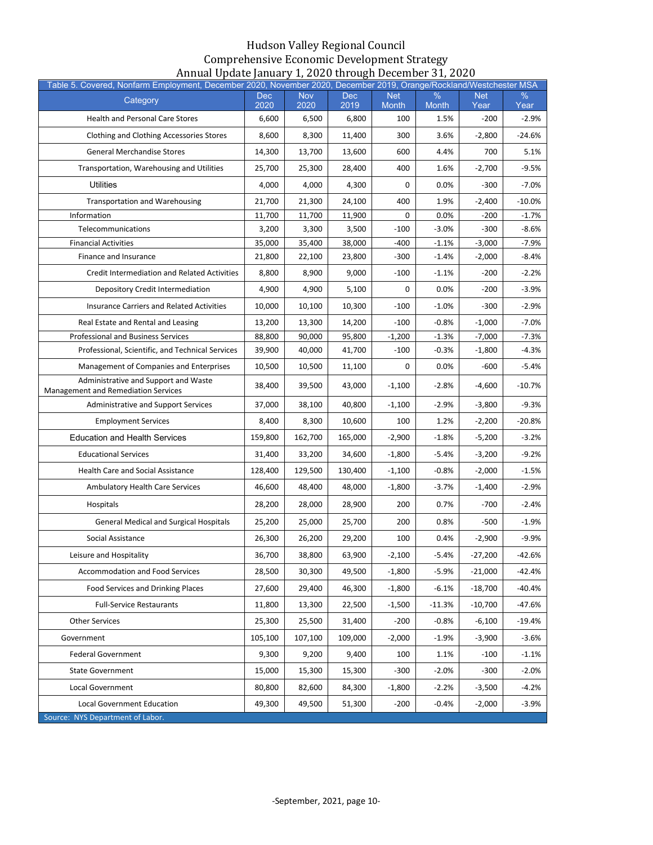| Table 5. Covered, Nonfarm Employment, December 2020, November 2020, December 2019, Orange/Rockland/Westchester MSA |                    |                    |                    |                            |                      |                    |              |
|--------------------------------------------------------------------------------------------------------------------|--------------------|--------------------|--------------------|----------------------------|----------------------|--------------------|--------------|
| Category                                                                                                           | <b>Dec</b><br>2020 | <b>Nov</b><br>2020 | <b>Dec</b><br>2019 | <b>Net</b><br><b>Month</b> | $\%$<br><b>Month</b> | <b>Net</b><br>Year | $\%$<br>Year |
| <b>Health and Personal Care Stores</b>                                                                             | 6,600              | 6,500              | 6,800              | 100                        | 1.5%                 | $-200$             | $-2.9%$      |
| <b>Clothing and Clothing Accessories Stores</b>                                                                    | 8,600              | 8,300              | 11,400             | 300                        | 3.6%                 | $-2,800$           | $-24.6%$     |
| <b>General Merchandise Stores</b>                                                                                  | 14,300             | 13,700             | 13,600             | 600                        | 4.4%                 | 700                | 5.1%         |
| Transportation, Warehousing and Utilities                                                                          | 25,700             | 25,300             | 28,400             | 400                        | 1.6%                 | $-2,700$           | $-9.5%$      |
| <b>Utilities</b>                                                                                                   | 4,000              | 4,000              | 4,300              | 0                          | 0.0%                 | $-300$             | $-7.0%$      |
| <b>Transportation and Warehousing</b>                                                                              | 21,700             | 21,300             | 24,100             | 400                        | 1.9%                 | $-2,400$           | $-10.0%$     |
| Information                                                                                                        | 11,700             | 11,700             | 11,900             | 0                          | 0.0%                 | $-200$             | $-1.7%$      |
| Telecommunications                                                                                                 | 3,200              | 3,300              | 3,500              | $-100$                     | $-3.0%$              | $-300$             | -8.6%        |
| <b>Financial Activities</b>                                                                                        | 35,000             | 35,400             | 38,000             | $-400$                     | $-1.1%$              | $-3,000$           | $-7.9%$      |
| Finance and Insurance                                                                                              | 21,800             | 22,100             | 23,800             | $-300$                     | $-1.4%$              | $-2,000$           | $-8.4%$      |
| <b>Credit Intermediation and Related Activities</b>                                                                | 8,800              | 8,900              | 9,000              | $-100$                     | $-1.1%$              | $-200$             | $-2.2%$      |
| Depository Credit Intermediation                                                                                   | 4,900              | 4,900              | 5,100              | 0                          | $0.0\%$              | $-200$             | $-3.9%$      |
| <b>Insurance Carriers and Related Activities</b>                                                                   | 10,000             | 10,100             | 10,300             | $-100$                     | $-1.0%$              | $-300$             | $-2.9%$      |
| Real Estate and Rental and Leasing                                                                                 | 13,200             | 13,300             | 14,200             | $-100$                     | $-0.8%$              | $-1,000$           | $-7.0\%$     |
| <b>Professional and Business Services</b>                                                                          | 88,800             | 90,000             | 95,800             | $-1,200$                   | $-1.3%$              | $-7,000$           | $-7.3%$      |
| Professional, Scientific, and Technical Services                                                                   | 39,900             | 40,000             | 41,700             | $-100$                     | $-0.3%$              | -1,800             | -4.3%        |
| Management of Companies and Enterprises                                                                            | 10,500             | 10,500             | 11,100             | 0                          | $0.0\%$              | $-600$             | $-5.4%$      |
| Administrative and Support and Waste<br>Management and Remediation Services                                        | 38,400             | 39,500             | 43,000             | $-1,100$                   | $-2.8%$              | $-4,600$           | $-10.7%$     |
| Administrative and Support Services                                                                                | 37,000             | 38,100             | 40,800             | $-1,100$                   | $-2.9%$              | -3,800             | $-9.3%$      |
| <b>Employment Services</b>                                                                                         | 8,400              | 8,300              | 10,600             | 100                        | 1.2%                 | $-2,200$           | $-20.8%$     |
| <b>Education and Health Services</b>                                                                               | 159,800            | 162,700            | 165,000            | $-2,900$                   | $-1.8%$              | $-5,200$           | $-3.2%$      |
| <b>Educational Services</b>                                                                                        | 31,400             | 33,200             | 34,600             | $-1,800$                   | $-5.4%$              | $-3,200$           | $-9.2%$      |
| <b>Health Care and Social Assistance</b>                                                                           | 128,400            | 129,500            | 130,400            | $-1,100$                   | $-0.8%$              | $-2,000$           | $-1.5%$      |
| <b>Ambulatory Health Care Services</b>                                                                             | 46,600             | 48,400             | 48,000             | $-1,800$                   | $-3.7%$              | $-1,400$           | $-2.9%$      |
| Hospitals                                                                                                          | 28,200             | 28,000             | 28,900             | 200                        | 0.7%                 | $-700$             | $-2.4%$      |
| <b>General Medical and Surgical Hospitals</b>                                                                      | 25,200             | 25,000             | 25,700             | 200                        | 0.8%                 | $-500$             | $-1.9%$      |
| Social Assistance                                                                                                  | 26,300             | 26,200             | 29,200             | 100                        | 0.4%                 | $-2,900$           | $-9.9%$      |
| Leisure and Hospitality                                                                                            | 36,700             | 38,800             | 63,900             | $-2,100$                   | $-5.4%$              | $-27,200$          | -42.6%       |
| Accommodation and Food Services                                                                                    | 28,500             | 30,300             | 49,500             | $-1,800$                   | $-5.9%$              | $-21,000$          | $-42.4%$     |
| Food Services and Drinking Places                                                                                  | 27,600             | 29,400             | 46,300             | $-1,800$                   | $-6.1%$              | $-18,700$          | $-40.4%$     |
| <b>Full-Service Restaurants</b>                                                                                    | 11,800             | 13,300             | 22,500             | $-1,500$                   | $-11.3%$             | $-10,700$          | $-47.6%$     |
| <b>Other Services</b>                                                                                              | 25,300             | 25,500             | 31,400             | $-200$                     | $-0.8%$              | $-6,100$           | $-19.4%$     |
| Government                                                                                                         | 105,100            | 107,100            | 109,000            | $-2,000$                   | $-1.9%$              | $-3,900$           | $-3.6%$      |
| <b>Federal Government</b>                                                                                          | 9,300              | 9,200              | 9,400              | 100                        | 1.1%                 | $-100$             | $-1.1%$      |
| <b>State Government</b>                                                                                            | 15,000             | 15,300             | 15,300             | $-300$                     | $-2.0%$              | $-300$             | $-2.0%$      |
| Local Government                                                                                                   | 80,800             | 82,600             | 84,300             | $-1,800$                   | $-2.2%$              | $-3,500$           | $-4.2%$      |
| Local Government Education                                                                                         | 49,300             | 49,500             | 51,300             | $-200$                     | $-0.4%$              | $-2,000$           | $-3.9%$      |
| Source: NYS Department of Labor.                                                                                   |                    |                    |                    |                            |                      |                    |              |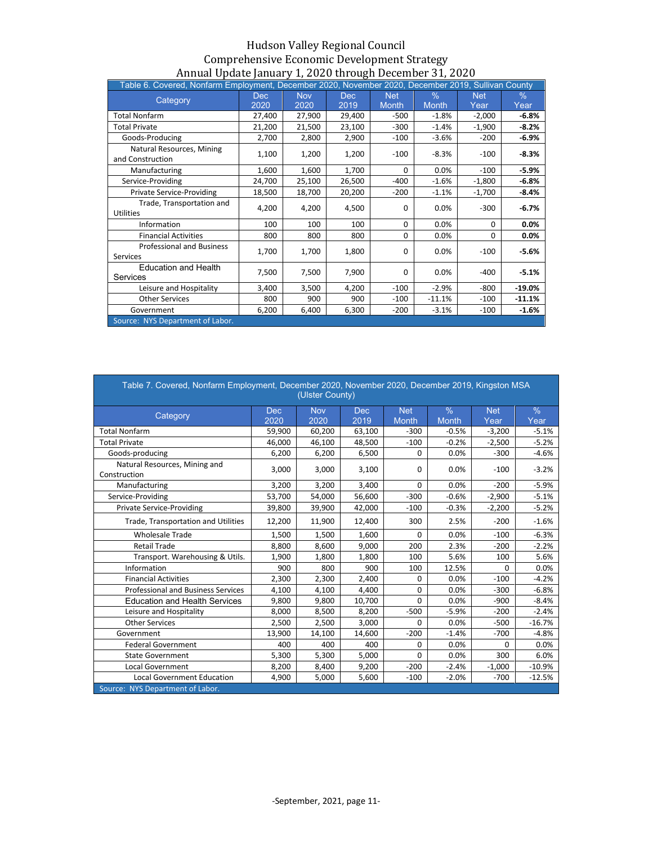| Table 6. Covered, Nonfarm Employment, December 2020, November 2020, December 2019, Sullivan County |            |            |        |              |              |            |          |
|----------------------------------------------------------------------------------------------------|------------|------------|--------|--------------|--------------|------------|----------|
|                                                                                                    | <b>Dec</b> | <b>Nov</b> | Dec.   | <b>Net</b>   | $\%$         | <b>Net</b> | $\%$     |
| Category                                                                                           | 2020       | 2020       | 2019   | <b>Month</b> | <b>Month</b> | Year       | Year     |
| <b>Total Nonfarm</b>                                                                               | 27,400     | 27,900     | 29,400 | $-500$       | $-1.8%$      | $-2,000$   | $-6.8%$  |
| <b>Total Private</b>                                                                               | 21,200     | 21,500     | 23,100 | $-300$       | $-1.4%$      | $-1,900$   | $-8.2%$  |
| Goods-Producing                                                                                    | 2,700      | 2,800      | 2,900  | $-100$       | $-3.6%$      | $-200$     | $-6.9%$  |
| Natural Resources, Mining<br>and Construction                                                      | 1,100      | 1,200      | 1,200  | $-100$       | $-8.3%$      | -100       | $-8.3%$  |
| Manufacturing                                                                                      | 1,600      | 1,600      | 1,700  | $\Omega$     | 0.0%         | $-100$     | $-5.9%$  |
| Service-Providing                                                                                  | 24,700     | 25,100     | 26,500 | $-400$       | $-1.6%$      | $-1,800$   | $-6.8%$  |
| <b>Private Service-Providing</b>                                                                   | 18,500     | 18,700     | 20,200 | $-200$       | $-1.1%$      | $-1,700$   | $-8.4%$  |
| Trade, Transportation and<br><b>Utilities</b>                                                      | 4.200      | 4,200      | 4,500  | ŋ            | 0.0%         | -300       | $-6.7%$  |
| Information                                                                                        | 100        | 100        | 100    | 0            | 0.0%         | $\Omega$   | $0.0\%$  |
| <b>Financial Activities</b>                                                                        | 800        | 800        | 800    | 0            | 0.0%         | $\Omega$   | 0.0%     |
| <b>Professional and Business</b><br>Services                                                       | 1,700      | 1,700      | 1,800  | 0            | 0.0%         | $-100$     | $-5.6%$  |
| <b>Education and Health</b><br>Services                                                            | 7,500      | 7,500      | 7,900  | 0            | 0.0%         | -400       | $-5.1%$  |
| Leisure and Hospitality                                                                            | 3,400      | 3,500      | 4,200  | $-100$       | $-2.9%$      | $-800$     | $-19.0%$ |
| <b>Other Services</b>                                                                              | 800        | 900        | 900    | $-100$       | $-11.1%$     | $-100$     | $-11.1%$ |
| Government                                                                                         | 6,200      | 6,400      | 6,300  | $-200$       | $-3.1%$      | -100       | $-1.6%$  |
| Source: NYS Department of Labor.                                                                   |            |            |        |              |              |            |          |

| Table 7. Covered, Nonfarm Employment, December 2020, November 2020, December 2019, Kingston MSA |             | (Ulster County)    |                    |                     |                               |                    |                       |
|-------------------------------------------------------------------------------------------------|-------------|--------------------|--------------------|---------------------|-------------------------------|--------------------|-----------------------|
| Category                                                                                        | Dec<br>2020 | <b>Nov</b><br>2020 | <b>Dec</b><br>2019 | <b>Net</b><br>Month | $\frac{9}{6}$<br><b>Month</b> | <b>Net</b><br>Year | $\frac{0}{0}$<br>Year |
| <b>Total Nonfarm</b>                                                                            | 59,900      | 60,200             | 63,100             | $-300$              | $-0.5%$                       | $-3,200$           | $-5.1%$               |
| <b>Total Private</b>                                                                            | 46,000      | 46,100             | 48,500             | $-100$              | $-0.2%$                       | $-2,500$           | $-5.2%$               |
| Goods-producing                                                                                 | 6,200       | 6,200              | 6,500              | 0                   | 0.0%                          | $-300$             | $-4.6%$               |
| Natural Resources, Mining and<br>Construction                                                   | 3,000       | 3,000              | 3,100              | 0                   | 0.0%                          | $-100$             | $-3.2%$               |
| Manufacturing                                                                                   | 3,200       | 3,200              | 3,400              | 0                   | 0.0%                          | $-200$             | $-5.9%$               |
| Service-Providing                                                                               | 53,700      | 54,000             | 56,600             | $-300$              | $-0.6%$                       | $-2,900$           | $-5.1%$               |
| <b>Private Service-Providing</b>                                                                | 39,800      | 39,900             | 42,000             | $-100$              | $-0.3%$                       | $-2,200$           | $-5.2%$               |
| Trade, Transportation and Utilities                                                             | 12,200      | 11,900             | 12,400             | 300                 | 2.5%                          | $-200$             | $-1.6%$               |
| <b>Wholesale Trade</b>                                                                          | 1,500       | 1,500              | 1,600              | 0                   | 0.0%                          | $-100$             | $-6.3%$               |
| <b>Retail Trade</b>                                                                             | 8,800       | 8,600              | 9.000              | 200                 | 2.3%                          | $-200$             | $-2.2%$               |
| Transport. Warehousing & Utils.                                                                 | 1,900       | 1,800              | 1,800              | 100                 | 5.6%                          | 100                | 5.6%                  |
| Information                                                                                     | 900         | 800                | 900                | 100                 | 12.5%                         | 0                  | 0.0%                  |
| <b>Financial Activities</b>                                                                     | 2,300       | 2,300              | 2,400              | 0                   | 0.0%                          | $-100$             | $-4.2%$               |
| <b>Professional and Business Services</b>                                                       | 4,100       | 4,100              | 4,400              | 0                   | 0.0%                          | $-300$             | $-6.8%$               |
| <b>Education and Health Services</b>                                                            | 9,800       | 9,800              | 10,700             | 0                   | 0.0%                          | $-900$             | $-8.4%$               |
| Leisure and Hospitality                                                                         | 8,000       | 8,500              | 8,200              | $-500$              | $-5.9%$                       | $-200$             | $-2.4%$               |
| <b>Other Services</b>                                                                           | 2,500       | 2,500              | 3,000              | 0                   | 0.0%                          | $-500$             | $-16.7%$              |
| Government                                                                                      | 13,900      | 14,100             | 14,600             | $-200$              | $-1.4%$                       | $-700$             | $-4.8%$               |
| <b>Federal Government</b>                                                                       | 400         | 400                | 400                | 0                   | 0.0%                          | 0                  | 0.0%                  |
| <b>State Government</b>                                                                         | 5,300       | 5,300              | 5,000              | 0                   | 0.0%                          | 300                | 6.0%                  |
| <b>Local Government</b>                                                                         | 8,200       | 8,400              | 9,200              | $-200$              | $-2.4%$                       | $-1,000$           | $-10.9%$              |
| <b>Local Government Education</b>                                                               | 4,900       | 5,000              | 5.600              | $-100$              | $-2.0%$                       | $-700$             | $-12.5%$              |
| Source: NYS Department of Labor.                                                                |             |                    |                    |                     |                               |                    |                       |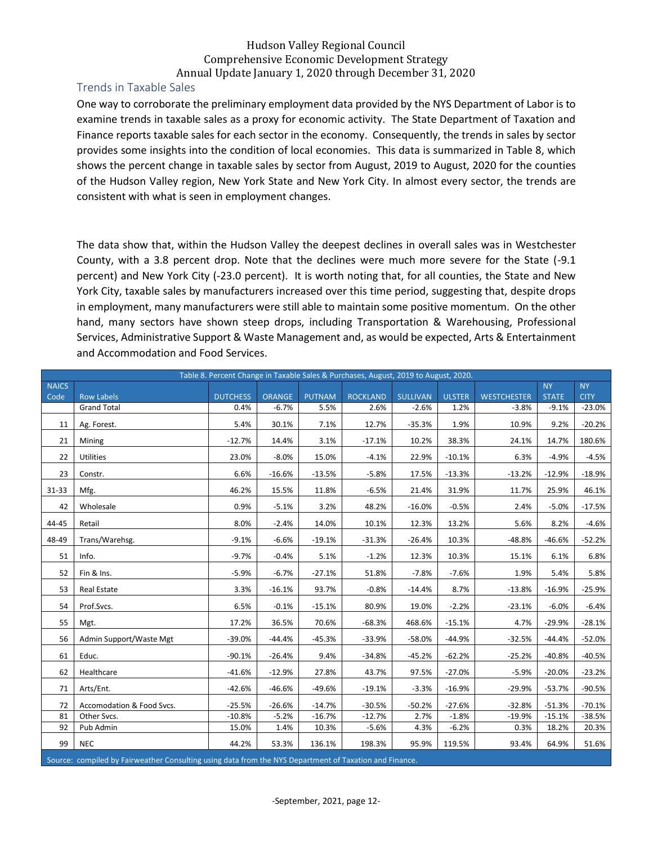#### <span id="page-12-0"></span>Trends in Taxable Sales

One way to corroborate the preliminary employment data provided by the NYS Department of Labor is to examine trends in taxable sales as a proxy for economic activity. The State Department of Taxation and Finance reports taxable sales for each sector in the economy. Consequently, the trends in sales by sector provides some insights into the condition of local economies. This data is summarized in Table 8, which shows the percent change in taxable sales by sector from August, 2019 to August, 2020 for the counties of the Hudson Valley region, New York State and New York City. In almost every sector, the trends are consistent with what is seen in employment changes.

The data show that, within the Hudson Valley the deepest declines in overall sales was in Westchester County, with a 3.8 percent drop. Note that the declines were much more severe for the State (-9.1 percent) and New York City (-23.0 percent). It is worth noting that, for all counties, the State and New York City, taxable sales by manufacturers increased over this time period, suggesting that, despite drops in employment, many manufacturers were still able to maintain some positive momentum. On the other hand, many sectors have shown steep drops, including Transportation & Warehousing, Professional Services, Administrative Support & Waste Management and, as would be expected, Arts & Entertainment and Accommodation and Food Services.

|                      |                                                                                                       |                 |               |               | Table 8. Percent Change in Taxable Sales & Purchases, August, 2019 to August, 2020. |                 |               |                    |                           |                          |
|----------------------|-------------------------------------------------------------------------------------------------------|-----------------|---------------|---------------|-------------------------------------------------------------------------------------|-----------------|---------------|--------------------|---------------------------|--------------------------|
| <b>NAICS</b><br>Code | <b>Row Labels</b>                                                                                     | <b>DUTCHESS</b> | <b>ORANGE</b> | <b>PUTNAM</b> | <b>ROCKLAND</b>                                                                     | <b>SULLIVAN</b> | <b>ULSTER</b> | <b>WESTCHESTER</b> | <b>NY</b><br><b>STATE</b> | <b>NY</b><br><b>CITY</b> |
|                      | <b>Grand Total</b>                                                                                    | 0.4%            | $-6.7%$       | 5.5%          | 2.6%                                                                                | $-2.6%$         | 1.2%          | $-3.8%$            | $-9.1%$                   | $-23.0%$                 |
|                      |                                                                                                       |                 |               |               |                                                                                     |                 |               |                    |                           |                          |
| 11                   | Ag. Forest.                                                                                           | 5.4%            | 30.1%         | 7.1%          | 12.7%                                                                               | $-35.3%$        | 1.9%          | 10.9%              | 9.2%                      | $-20.2%$                 |
| 21                   | Mining                                                                                                | $-12.7%$        | 14.4%         | 3.1%          | $-17.1%$                                                                            | 10.2%           | 38.3%         | 24.1%              | 14.7%                     | 180.6%                   |
| 22                   | <b>Utilities</b>                                                                                      | 23.0%           | $-8.0%$       | 15.0%         | $-4.1%$                                                                             | 22.9%           | $-10.1%$      | 6.3%               | $-4.9%$                   | $-4.5%$                  |
| 23                   | Constr.                                                                                               | 6.6%            | $-16.6%$      | $-13.5%$      | $-5.8%$                                                                             | 17.5%           | $-13.3%$      | $-13.2%$           | $-12.9%$                  | $-18.9%$                 |
| $31 - 33$            | Mfg.                                                                                                  | 46.2%           | 15.5%         | 11.8%         | $-6.5%$                                                                             | 21.4%           | 31.9%         | 11.7%              | 25.9%                     | 46.1%                    |
| 42                   | Wholesale                                                                                             | 0.9%            | $-5.1%$       | 3.2%          | 48.2%                                                                               | $-16.0%$        | $-0.5%$       | 2.4%               | $-5.0%$                   | $-17.5%$                 |
| 44-45                | Retail                                                                                                | 8.0%            | $-2.4%$       | 14.0%         | 10.1%                                                                               | 12.3%           | 13.2%         | 5.6%               | 8.2%                      | $-4.6%$                  |
| 48-49                | Trans/Warehsg.                                                                                        | $-9.1%$         | $-6.6%$       | $-19.1%$      | $-31.3%$                                                                            | $-26.4%$        | 10.3%         | $-48.8%$           | $-46.6%$                  | $-52.2%$                 |
| 51                   | Info.                                                                                                 | $-9.7%$         | $-0.4%$       | 5.1%          | $-1.2%$                                                                             | 12.3%           | 10.3%         | 15.1%              | 6.1%                      | 6.8%                     |
| 52                   | Fin & Ins.                                                                                            | $-5.9%$         | $-6.7%$       | $-27.1%$      | 51.8%                                                                               | $-7.8%$         | $-7.6%$       | 1.9%               | 5.4%                      | 5.8%                     |
| 53                   | Real Estate                                                                                           | 3.3%            | $-16.1%$      | 93.7%         | $-0.8%$                                                                             | $-14.4%$        | 8.7%          | $-13.8%$           | $-16.9%$                  | $-25.9%$                 |
| 54                   | Prof.Svcs.                                                                                            | 6.5%            | $-0.1%$       | $-15.1%$      | 80.9%                                                                               | 19.0%           | $-2.2%$       | $-23.1%$           | $-6.0%$                   | $-6.4%$                  |
| 55                   | Mgt.                                                                                                  | 17.2%           | 36.5%         | 70.6%         | $-68.3%$                                                                            | 468.6%          | $-15.1%$      | 4.7%               | $-29.9%$                  | $-28.1%$                 |
| 56                   | Admin Support/Waste Mgt                                                                               | $-39.0%$        | $-44.4%$      | $-45.3%$      | $-33.9%$                                                                            | $-58.0%$        | $-44.9%$      | $-32.5%$           | $-44.4%$                  | $-52.0%$                 |
| 61                   | Educ.                                                                                                 | $-90.1%$        | $-26.4%$      | 9.4%          | $-34.8%$                                                                            | $-45.2%$        | $-62.2%$      | $-25.2%$           | $-40.8%$                  | $-40.5%$                 |
| 62                   | Healthcare                                                                                            | $-41.6%$        | $-12.9%$      | 27.8%         | 43.7%                                                                               | 97.5%           | $-27.0%$      | $-5.9%$            | $-20.0%$                  | $-23.2%$                 |
| 71                   | Arts/Ent.                                                                                             | $-42.6%$        | $-46.6%$      | $-49.6%$      | $-19.1%$                                                                            | $-3.3%$         | $-16.9%$      | $-29.9%$           | $-53.7%$                  | $-90.5%$                 |
| 72                   | Accomodation & Food Svcs.                                                                             | $-25.5%$        | $-26.6%$      | $-14.7%$      | $-30.5%$                                                                            | $-50.2%$        | $-27.6%$      | $-32.8%$           | $-51.3%$                  | $-70.1%$                 |
| 81                   | Other Svcs.                                                                                           | $-10.8%$        | $-5.2%$       | $-16.7%$      | $-12.7%$                                                                            | 2.7%            | $-1.8%$       | $-19.9%$           | $-15.1%$                  | $-38.5%$                 |
| 92                   | Pub Admin                                                                                             | 15.0%           | 1.4%          | 10.3%         | $-5.6%$                                                                             | 4.3%            | $-6.2%$       | 0.3%               | 18.2%                     | 20.3%                    |
| 99                   | <b>NEC</b>                                                                                            | 44.2%           | 53.3%         | 136.1%        | 198.3%                                                                              | 95.9%           | 119.5%        | 93.4%              | 64.9%                     | 51.6%                    |
|                      | Course compiled by Existing the Consulting using data from the NVS Department of Taxation and Einance |                 |               |               |                                                                                     |                 |               |                    |                           |                          |

Source: compiled by Fairweather Consulting using data from the NYS Department of Taxation and Finance.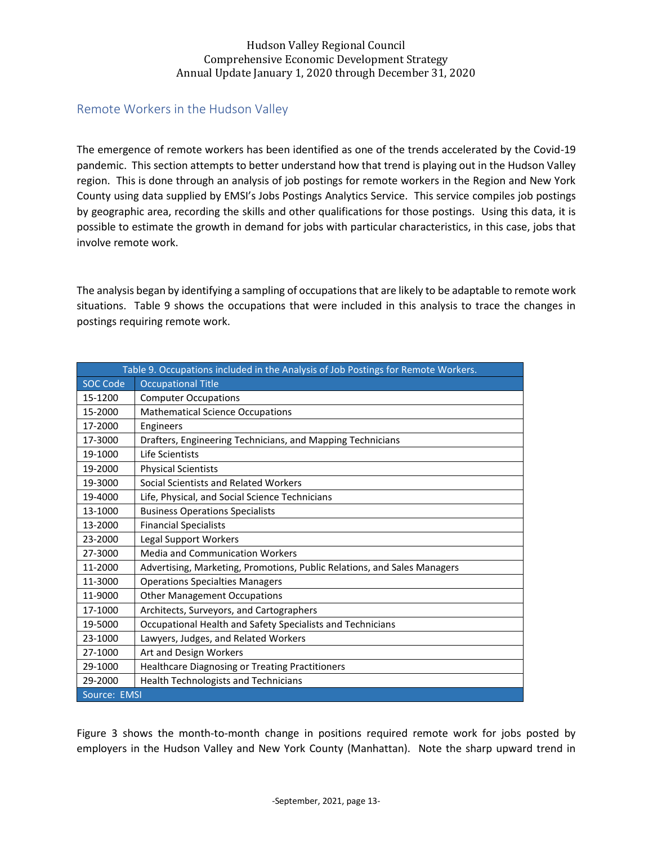## <span id="page-13-0"></span>Remote Workers in the Hudson Valley

The emergence of remote workers has been identified as one of the trends accelerated by the Covid-19 pandemic. This section attempts to better understand how that trend is playing out in the Hudson Valley region. This is done through an analysis of job postings for remote workers in the Region and New York County using data supplied by EMSI's Jobs Postings Analytics Service. This service compiles job postings by geographic area, recording the skills and other qualifications for those postings. Using this data, it is possible to estimate the growth in demand for jobs with particular characteristics, in this case, jobs that involve remote work.

The analysis began by identifying a sampling of occupations that are likely to be adaptable to remote work situations. Table 9 shows the occupations that were included in this analysis to trace the changes in postings requiring remote work.

|                 | Table 9. Occupations included in the Analysis of Job Postings for Remote Workers. |
|-----------------|-----------------------------------------------------------------------------------|
| <b>SOC Code</b> | <b>Occupational Title</b>                                                         |
| 15-1200         | <b>Computer Occupations</b>                                                       |
| 15-2000         | <b>Mathematical Science Occupations</b>                                           |
| 17-2000         | Engineers                                                                         |
| 17-3000         | Drafters, Engineering Technicians, and Mapping Technicians                        |
| 19-1000         | Life Scientists                                                                   |
| 19-2000         | <b>Physical Scientists</b>                                                        |
| 19-3000         | Social Scientists and Related Workers                                             |
| 19-4000         | Life, Physical, and Social Science Technicians                                    |
| 13-1000         | <b>Business Operations Specialists</b>                                            |
| 13-2000         | <b>Financial Specialists</b>                                                      |
| 23-2000         | Legal Support Workers                                                             |
| 27-3000         | <b>Media and Communication Workers</b>                                            |
| 11-2000         | Advertising, Marketing, Promotions, Public Relations, and Sales Managers          |
| 11-3000         | <b>Operations Specialties Managers</b>                                            |
| 11-9000         | <b>Other Management Occupations</b>                                               |
| 17-1000         | Architects, Surveyors, and Cartographers                                          |
| 19-5000         | Occupational Health and Safety Specialists and Technicians                        |
| 23-1000         | Lawyers, Judges, and Related Workers                                              |
| 27-1000         | Art and Design Workers                                                            |
| 29-1000         | Healthcare Diagnosing or Treating Practitioners                                   |
| 29-2000         | <b>Health Technologists and Technicians</b>                                       |
| Source: EMSI    |                                                                                   |

Figure 3 shows the month-to-month change in positions required remote work for jobs posted by employers in the Hudson Valley and New York County (Manhattan). Note the sharp upward trend in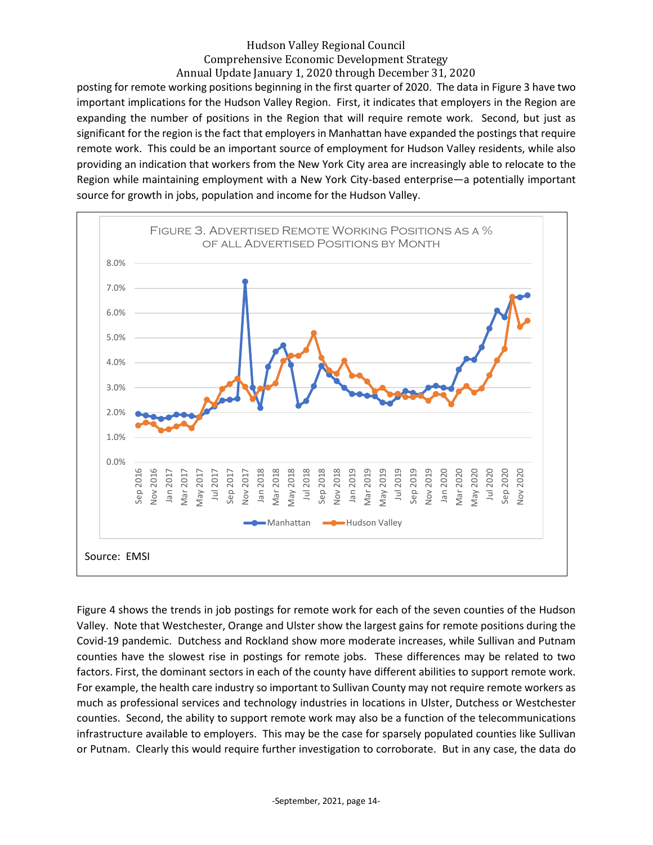posting for remote working positions beginning in the first quarter of 2020. The data in Figure 3 have two important implications for the Hudson Valley Region. First, it indicates that employers in the Region are expanding the number of positions in the Region that will require remote work. Second, but just as significant for the region is the fact that employers in Manhattan have expanded the postings that require remote work. This could be an important source of employment for Hudson Valley residents, while also providing an indication that workers from the New York City area are increasingly able to relocate to the Region while maintaining employment with a New York City-based enterprise—a potentially important source for growth in jobs, population and income for the Hudson Valley.



Figure 4 shows the trends in job postings for remote work for each of the seven counties of the Hudson Valley. Note that Westchester, Orange and Ulster show the largest gains for remote positions during the Covid-19 pandemic. Dutchess and Rockland show more moderate increases, while Sullivan and Putnam counties have the slowest rise in postings for remote jobs. These differences may be related to two factors. First, the dominant sectors in each of the county have different abilities to support remote work. For example, the health care industry so important to Sullivan County may not require remote workers as much as professional services and technology industries in locations in Ulster, Dutchess or Westchester counties. Second, the ability to support remote work may also be a function of the telecommunications infrastructure available to employers. This may be the case for sparsely populated counties like Sullivan or Putnam. Clearly this would require further investigation to corroborate. But in any case, the data do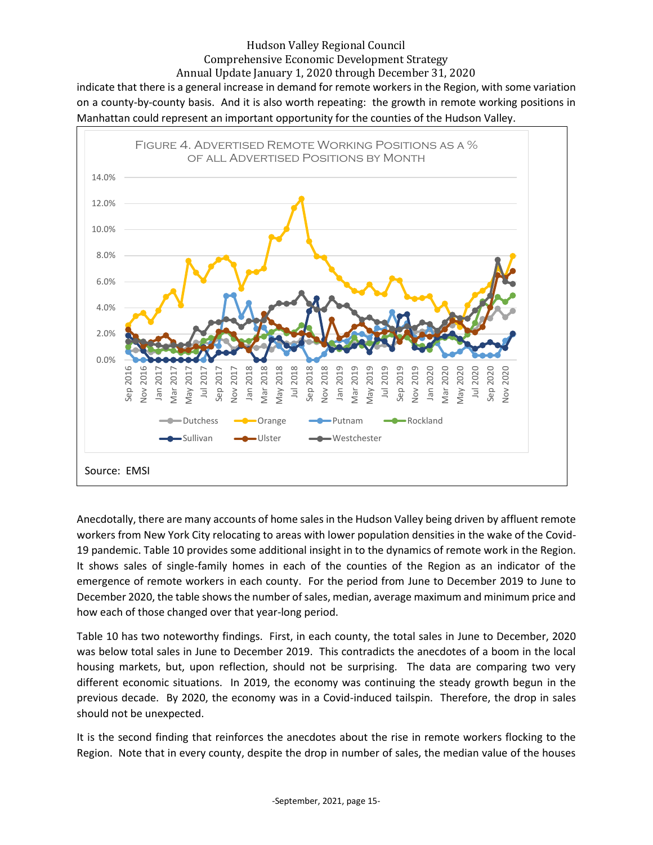indicate that there is a general increase in demand for remote workers in the Region, with some variation on a county-by-county basis. And it is also worth repeating: the growth in remote working positions in Manhattan could represent an important opportunity for the counties of the Hudson Valley.



Anecdotally, there are many accounts of home sales in the Hudson Valley being driven by affluent remote workers from New York City relocating to areas with lower population densities in the wake of the Covid-19 pandemic. Table 10 provides some additional insight in to the dynamics of remote work in the Region. It shows sales of single-family homes in each of the counties of the Region as an indicator of the emergence of remote workers in each county. For the period from June to December 2019 to June to December 2020, the table shows the number of sales, median, average maximum and minimum price and how each of those changed over that year-long period.

Table 10 has two noteworthy findings. First, in each county, the total sales in June to December, 2020 was below total sales in June to December 2019. This contradicts the anecdotes of a boom in the local housing markets, but, upon reflection, should not be surprising. The data are comparing two very different economic situations. In 2019, the economy was continuing the steady growth begun in the previous decade. By 2020, the economy was in a Covid-induced tailspin. Therefore, the drop in sales should not be unexpected.

It is the second finding that reinforces the anecdotes about the rise in remote workers flocking to the Region. Note that in every county, despite the drop in number of sales, the median value of the houses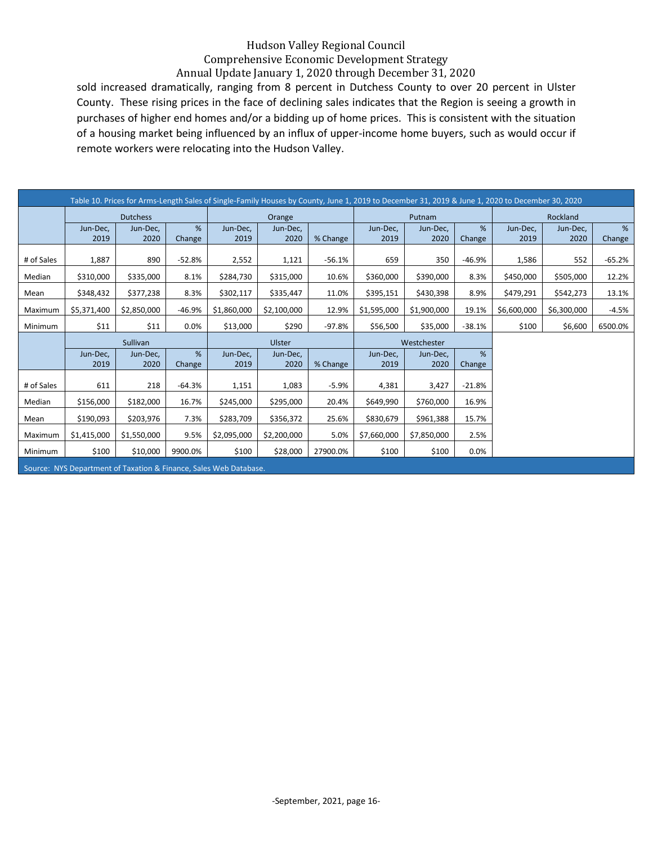sold increased dramatically, ranging from 8 percent in Dutchess County to over 20 percent in Ulster County. These rising prices in the face of declining sales indicates that the Region is seeing a growth in purchases of higher end homes and/or a bidding up of home prices. This is consistent with the situation of a housing market being influenced by an influx of upper-income home buyers, such as would occur if remote workers were relocating into the Hudson Valley.

|            |                  |                  |             | Table 10. Prices for Arms-Length Sales of Single-Family Houses by County, June 1, 2019 to December 31, 2019 & June 1, 2020 to December 30, 2020 |                  |          |                  |                  |             |                  |                  |             |
|------------|------------------|------------------|-------------|-------------------------------------------------------------------------------------------------------------------------------------------------|------------------|----------|------------------|------------------|-------------|------------------|------------------|-------------|
|            |                  | <b>Dutchess</b>  |             |                                                                                                                                                 | Orange           |          |                  | Putnam           |             |                  | Rockland         |             |
|            | Jun-Dec,<br>2019 | Jun-Dec,<br>2020 | %<br>Change | Jun-Dec,<br>2019                                                                                                                                | Jun-Dec,<br>2020 | % Change | Jun-Dec,<br>2019 | Jun-Dec,<br>2020 | %<br>Change | Jun-Dec,<br>2019 | Jun-Dec,<br>2020 | %<br>Change |
| # of Sales | 1,887            | 890              | $-52.8%$    | 2,552                                                                                                                                           | 1,121            | $-56.1%$ | 659              | 350              | $-46.9%$    | 1,586            | 552              | $-65.2%$    |
| Median     | \$310,000        | \$335,000        | 8.1%        | \$284,730                                                                                                                                       | \$315,000        | 10.6%    | \$360,000        | \$390,000        | 8.3%        | \$450,000        | \$505,000        | 12.2%       |
| Mean       | \$348,432        | \$377,238        | 8.3%        | \$302,117                                                                                                                                       | \$335,447        | 11.0%    | \$395,151        | \$430,398        | 8.9%        | \$479,291        | \$542,273        | 13.1%       |
| Maximum    | \$5,371,400      | \$2,850,000      | $-46.9%$    | \$1,860,000                                                                                                                                     | \$2,100,000      | 12.9%    | \$1,595,000      | \$1,900,000      | 19.1%       | \$6,600,000      | \$6,300,000      | $-4.5%$     |
| Minimum    | \$11             | \$11             | 0.0%        | \$13,000                                                                                                                                        | \$290            | $-97.8%$ | \$56,500         | \$35,000         | $-38.1%$    | \$100            | \$6,600          | 6500.0%     |
|            |                  | Sullivan         |             |                                                                                                                                                 | Ulster           |          | Westchester      |                  |             |                  |                  |             |
|            | Jun-Dec,         | Jun-Dec,         | %           | Jun-Dec,                                                                                                                                        | Jun-Dec,         |          | Jun-Dec,         | Jun-Dec,         | %           |                  |                  |             |
|            |                  |                  |             |                                                                                                                                                 |                  |          |                  |                  |             |                  |                  |             |
|            | 2019             | 2020             | Change      | 2019                                                                                                                                            | 2020             | % Change | 2019             | 2020             | Change      |                  |                  |             |
| # of Sales | 611              | 218              | $-64.3%$    | 1,151                                                                                                                                           | 1,083            | $-5.9%$  | 4,381            | 3,427            | $-21.8%$    |                  |                  |             |
| Median     | \$156,000        | \$182,000        | 16.7%       | \$245,000                                                                                                                                       | \$295,000        | 20.4%    | \$649,990        | \$760,000        | 16.9%       |                  |                  |             |
| Mean       | \$190,093        | \$203,976        | 7.3%        | \$283,709                                                                                                                                       | \$356,372        | 25.6%    | \$830,679        | \$961,388        | 15.7%       |                  |                  |             |
| Maximum    | \$1,415,000      | \$1,550,000      | 9.5%        | \$2,095,000                                                                                                                                     | \$2,200,000      | 5.0%     | \$7,660,000      | \$7,850,000      | 2.5%        |                  |                  |             |
| Minimum    | \$100            | \$10,000         | 9900.0%     | \$100                                                                                                                                           | \$28,000         | 27900.0% | \$100            | \$100            | 0.0%        |                  |                  |             |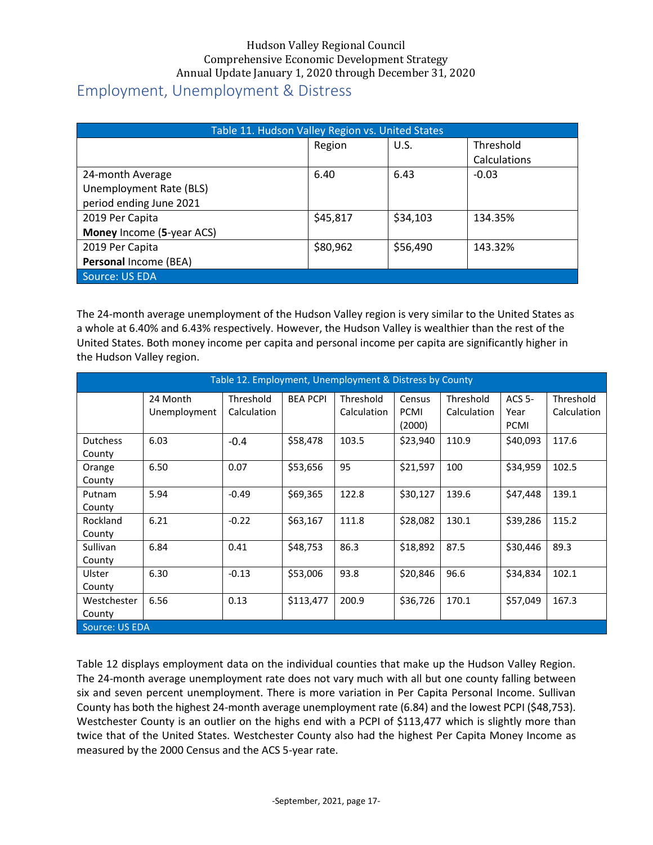# <span id="page-17-0"></span>Employment, Unemployment & Distress

|                           | Table 11. Hudson Valley Region vs. United States |          |              |  |  |  |  |  |  |
|---------------------------|--------------------------------------------------|----------|--------------|--|--|--|--|--|--|
|                           | Region                                           | U.S.     | Threshold    |  |  |  |  |  |  |
|                           |                                                  |          | Calculations |  |  |  |  |  |  |
| 24-month Average          | 6.40                                             | 6.43     | $-0.03$      |  |  |  |  |  |  |
| Unemployment Rate (BLS)   |                                                  |          |              |  |  |  |  |  |  |
| period ending June 2021   |                                                  |          |              |  |  |  |  |  |  |
| 2019 Per Capita           | \$45,817                                         | \$34,103 | 134.35%      |  |  |  |  |  |  |
| Money Income (5-year ACS) |                                                  |          |              |  |  |  |  |  |  |
| 2019 Per Capita           | \$80,962                                         | \$56,490 | 143.32%      |  |  |  |  |  |  |
| Personal Income (BEA)     |                                                  |          |              |  |  |  |  |  |  |
| Source: US EDA            |                                                  |          |              |  |  |  |  |  |  |

The 24-month average unemployment of the Hudson Valley region is very similar to the United States as a whole at 6.40% and 6.43% respectively. However, the Hudson Valley is wealthier than the rest of the United States. Both money income per capita and personal income per capita are significantly higher in the Hudson Valley region.

|                           |              | Table 12. Employment, Unemployment & Distress by County |                 |             |                       |             |                     |                  |
|---------------------------|--------------|---------------------------------------------------------|-----------------|-------------|-----------------------|-------------|---------------------|------------------|
|                           | 24 Month     | Threshold                                               | <b>BEA PCPI</b> | Threshold   | Census                | Threshold   | $ACS$ 5-            | <b>Threshold</b> |
|                           | Unemployment | Calculation                                             |                 | Calculation | <b>PCMI</b><br>(2000) | Calculation | Year<br><b>PCMI</b> | Calculation      |
| <b>Dutchess</b><br>County | 6.03         | $-0.4$                                                  | \$58,478        | 103.5       | \$23,940              | 110.9       | \$40,093            | 117.6            |
| Orange<br>County          | 6.50         | 0.07                                                    | \$53,656        | 95          | \$21,597              | 100         | \$34,959            | 102.5            |
| Putnam<br>County          | 5.94         | $-0.49$                                                 | \$69,365        | 122.8       | \$30,127              | 139.6       | \$47,448            | 139.1            |
| Rockland<br>County        | 6.21         | $-0.22$                                                 | \$63,167        | 111.8       | \$28,082              | 130.1       | \$39,286            | 115.2            |
| Sullivan<br>County        | 6.84         | 0.41                                                    | \$48,753        | 86.3        | \$18,892              | 87.5        | \$30,446            | 89.3             |
| Ulster<br>County          | 6.30         | $-0.13$                                                 | \$53,006        | 93.8        | \$20,846              | 96.6        | \$34,834            | 102.1            |
| Westchester<br>County     | 6.56         | 0.13                                                    | \$113,477       | 200.9       | \$36,726              | 170.1       | \$57,049            | 167.3            |
| Source: US EDA            |              |                                                         |                 |             |                       |             |                     |                  |

Table 12 displays employment data on the individual counties that make up the Hudson Valley Region. The 24-month average unemployment rate does not vary much with all but one county falling between six and seven percent unemployment. There is more variation in Per Capita Personal Income. Sullivan County has both the highest 24-month average unemployment rate (6.84) and the lowest PCPI (\$48,753). Westchester County is an outlier on the highs end with a PCPI of \$113,477 which is slightly more than twice that of the United States. Westchester County also had the highest Per Capita Money Income as measured by the 2000 Census and the ACS 5-year rate.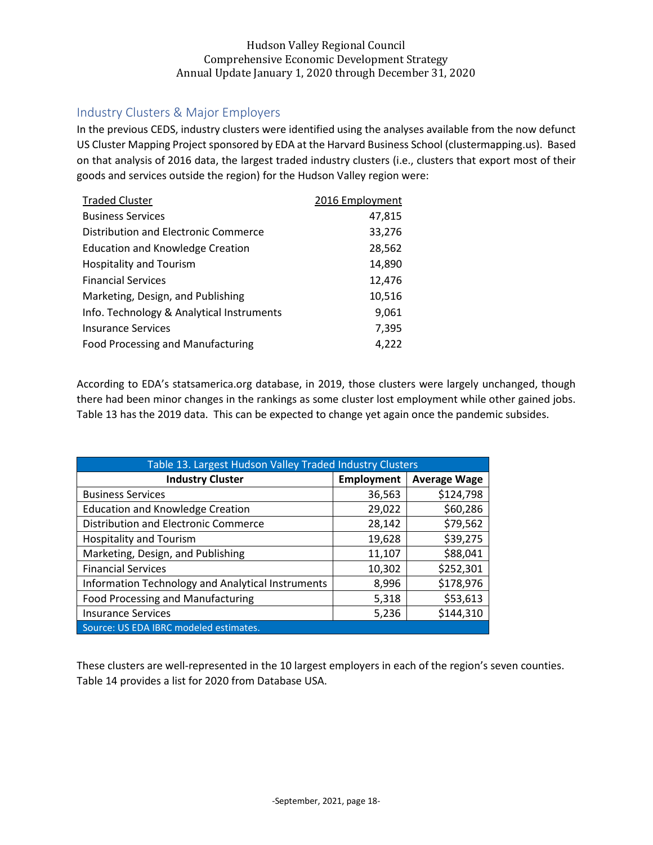## <span id="page-18-0"></span>Industry Clusters & Major Employers

In the previous CEDS, industry clusters were identified using the analyses available from the now defunct US Cluster Mapping Project sponsored by EDA at the Harvard Business School (clustermapping.us). Based on that analysis of 2016 data, the largest traded industry clusters (i.e., clusters that export most of their goods and services outside the region) for the Hudson Valley region were:

| <b>Traded Cluster</b>                     | 2016 Employment |
|-------------------------------------------|-----------------|
| <b>Business Services</b>                  | 47,815          |
| Distribution and Electronic Commerce      | 33,276          |
| <b>Education and Knowledge Creation</b>   | 28,562          |
| <b>Hospitality and Tourism</b>            | 14,890          |
| <b>Financial Services</b>                 | 12,476          |
| Marketing, Design, and Publishing         | 10,516          |
| Info. Technology & Analytical Instruments | 9,061           |
| <b>Insurance Services</b>                 | 7,395           |
| <b>Food Processing and Manufacturing</b>  | 4,222           |

According to EDA's statsamerica.org database, in 2019, those clusters were largely unchanged, though there had been minor changes in the rankings as some cluster lost employment while other gained jobs. Table 13 has the 2019 data. This can be expected to change yet again once the pandemic subsides.

| Table 13. Largest Hudson Valley Traded Industry Clusters |            |                     |
|----------------------------------------------------------|------------|---------------------|
| <b>Industry Cluster</b>                                  | Employment | <b>Average Wage</b> |
| <b>Business Services</b>                                 | 36,563     | \$124,798           |
| <b>Education and Knowledge Creation</b>                  | 29,022     | \$60,286            |
| Distribution and Electronic Commerce                     | 28,142     | \$79,562            |
| <b>Hospitality and Tourism</b>                           | 19,628     | \$39,275            |
| Marketing, Design, and Publishing                        | 11,107     | \$88,041            |
| <b>Financial Services</b>                                | 10,302     | \$252,301           |
| Information Technology and Analytical Instruments        | 8,996      | \$178,976           |
| <b>Food Processing and Manufacturing</b>                 | 5,318      | \$53,613            |
| <b>Insurance Services</b>                                | 5,236      | \$144,310           |
| Source: US EDA IBRC modeled estimates.                   |            |                     |

These clusters are well-represented in the 10 largest employers in each of the region's seven counties. Table 14 provides a list for 2020 from Database USA.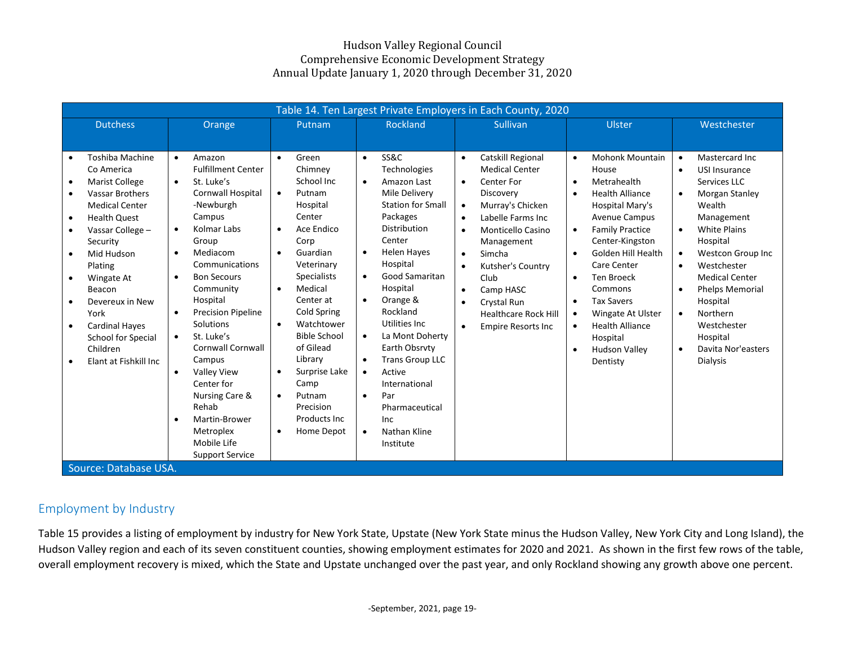|                                                                                                                                                                                                                                                                                                                                                                                                                                                            | Table 14. Ten Largest Private Employers in Each County, 2020                                                                                                                                                                                                                                                                                                                                                                                                                                                                                                       |                                                                                                                                                                                                                                                                                                                                                                                                            |                                                                                                                                                                                                                                                                                                                                                                                                                                                                                                                               |                                                                                                                                                                                                                                                                                                                                                                                                                           |                                                                                                                                                                                                                                                                                                                                                                                                                                                                                             |                                                                                                                                                                                                                                                                                                                                                                                                                                       |  |  |
|------------------------------------------------------------------------------------------------------------------------------------------------------------------------------------------------------------------------------------------------------------------------------------------------------------------------------------------------------------------------------------------------------------------------------------------------------------|--------------------------------------------------------------------------------------------------------------------------------------------------------------------------------------------------------------------------------------------------------------------------------------------------------------------------------------------------------------------------------------------------------------------------------------------------------------------------------------------------------------------------------------------------------------------|------------------------------------------------------------------------------------------------------------------------------------------------------------------------------------------------------------------------------------------------------------------------------------------------------------------------------------------------------------------------------------------------------------|-------------------------------------------------------------------------------------------------------------------------------------------------------------------------------------------------------------------------------------------------------------------------------------------------------------------------------------------------------------------------------------------------------------------------------------------------------------------------------------------------------------------------------|---------------------------------------------------------------------------------------------------------------------------------------------------------------------------------------------------------------------------------------------------------------------------------------------------------------------------------------------------------------------------------------------------------------------------|---------------------------------------------------------------------------------------------------------------------------------------------------------------------------------------------------------------------------------------------------------------------------------------------------------------------------------------------------------------------------------------------------------------------------------------------------------------------------------------------|---------------------------------------------------------------------------------------------------------------------------------------------------------------------------------------------------------------------------------------------------------------------------------------------------------------------------------------------------------------------------------------------------------------------------------------|--|--|
| <b>Dutchess</b>                                                                                                                                                                                                                                                                                                                                                                                                                                            | Orange                                                                                                                                                                                                                                                                                                                                                                                                                                                                                                                                                             | Putnam                                                                                                                                                                                                                                                                                                                                                                                                     | <b>Rockland</b>                                                                                                                                                                                                                                                                                                                                                                                                                                                                                                               | Sullivan                                                                                                                                                                                                                                                                                                                                                                                                                  | Ulster                                                                                                                                                                                                                                                                                                                                                                                                                                                                                      | Westchester                                                                                                                                                                                                                                                                                                                                                                                                                           |  |  |
|                                                                                                                                                                                                                                                                                                                                                                                                                                                            |                                                                                                                                                                                                                                                                                                                                                                                                                                                                                                                                                                    |                                                                                                                                                                                                                                                                                                                                                                                                            |                                                                                                                                                                                                                                                                                                                                                                                                                                                                                                                               |                                                                                                                                                                                                                                                                                                                                                                                                                           |                                                                                                                                                                                                                                                                                                                                                                                                                                                                                             |                                                                                                                                                                                                                                                                                                                                                                                                                                       |  |  |
| Toshiba Machine<br>$\bullet$<br>Co America<br>Marist College<br>$\bullet$<br><b>Vassar Brothers</b><br>$\bullet$<br><b>Medical Center</b><br><b>Health Quest</b><br>$\bullet$<br>Vassar College -<br>$\bullet$<br>Security<br>Mid Hudson<br>$\bullet$<br>Plating<br>Wingate At<br>$\bullet$<br>Beacon<br>Devereux in New<br>York<br><b>Cardinal Hayes</b><br>$\bullet$<br>School for Special<br>Children<br>Elant at Fishkill Inc<br>Source: Database USA. | Amazon<br>$\bullet$<br><b>Fulfillment Center</b><br>St. Luke's<br>$\bullet$<br><b>Cornwall Hospital</b><br>-Newburgh<br>Campus<br>Kolmar Labs<br>$\bullet$<br>Group<br>Mediacom<br>$\bullet$<br>Communications<br><b>Bon Secours</b><br>$\bullet$<br>Community<br>Hospital<br><b>Precision Pipeline</b><br>$\bullet$<br>Solutions<br>St. Luke's<br>$\bullet$<br><b>Cornwall Cornwall</b><br>Campus<br><b>Valley View</b><br>$\bullet$<br>Center for<br>Nursing Care &<br>Rehab<br>Martin-Brower<br>$\bullet$<br>Metroplex<br>Mobile Life<br><b>Support Service</b> | Green<br>Chimney<br>School Inc<br>Putnam<br>$\bullet$<br>Hospital<br>Center<br>Ace Endico<br>$\bullet$<br>Corp<br>Guardian<br>$\bullet$<br>Veterinary<br><b>Specialists</b><br>Medical<br>$\bullet$<br>Center at<br>Cold Spring<br>Watchtower<br>$\bullet$<br><b>Bible School</b><br>of Gilead<br>Library<br>Surprise Lake<br>Camp<br>Putnam<br>$\bullet$<br>Precision<br>Products Inc.<br>Home Depot<br>٠ | <b>SS&amp;C</b><br>$\bullet$<br>Technologies<br>Amazon Last<br>$\bullet$<br>Mile Delivery<br><b>Station for Small</b><br>Packages<br>Distribution<br>Center<br><b>Helen Hayes</b><br>$\bullet$<br>Hospital<br><b>Good Samaritan</b><br>Hospital<br>Orange &<br>$\bullet$<br>Rockland<br>Utilities Inc.<br>La Mont Doherty<br>$\bullet$<br>Earth Obsrvty<br><b>Trans Group LLC</b><br>$\bullet$<br>Active<br>$\bullet$<br>International<br>Par<br>$\bullet$<br>Pharmaceutical<br>Inc<br>Nathan Kline<br>$\bullet$<br>Institute | Catskill Regional<br>$\bullet$<br><b>Medical Center</b><br>Center For<br>$\bullet$<br>Discovery<br>Murray's Chicken<br>$\bullet$<br>Labelle Farms Inc<br>$\bullet$<br>Monticello Casino<br>$\bullet$<br>Management<br>Simcha<br>$\bullet$<br>Kutsher's Country<br>$\bullet$<br>Club<br>Camp HASC<br>$\bullet$<br><b>Crystal Run</b><br>$\bullet$<br><b>Healthcare Rock Hill</b><br><b>Empire Resorts Inc</b><br>$\bullet$ | <b>Mohonk Mountain</b><br>$\bullet$<br>House<br>Metrahealth<br>$\bullet$<br><b>Health Alliance</b><br>$\bullet$<br>Hospital Mary's<br><b>Avenue Campus</b><br><b>Family Practice</b><br>$\bullet$<br>Center-Kingston<br>Golden Hill Health<br>$\bullet$<br>Care Center<br><b>Ten Broeck</b><br>$\bullet$<br>Commons<br><b>Tax Savers</b><br>$\bullet$<br>Wingate At Ulster<br>$\bullet$<br><b>Health Alliance</b><br>$\bullet$<br>Hospital<br><b>Hudson Valley</b><br>$\bullet$<br>Dentisty | Mastercard Inc.<br>$\bullet$<br>USI Insurance<br>$\bullet$<br>Services LLC<br>Morgan Stanley<br>$\bullet$<br>Wealth<br>Management<br><b>White Plains</b><br>$\bullet$<br>Hospital<br><b>Westcon Group Inc</b><br>$\bullet$<br>Westchester<br>$\bullet$<br><b>Medical Center</b><br><b>Phelps Memorial</b><br>$\bullet$<br>Hospital<br>Northern<br>$\bullet$<br>Westchester<br>Hospital<br>Davita Nor'easters<br>$\bullet$<br>Dialysis |  |  |

## Employment by Industry

Table 15 provides a listing of employment by industry for New York State, Upstate (New York State minus the Hudson Valley, New York City and Long Island), the Hudson Valley region and each of its seven constituent counties, showing employment estimates for 2020 and 2021. As shown in the first few rows of the table, overall employment recovery is mixed, which the State and Upstate unchanged over the past year, and only Rockland showing any growth above one percent.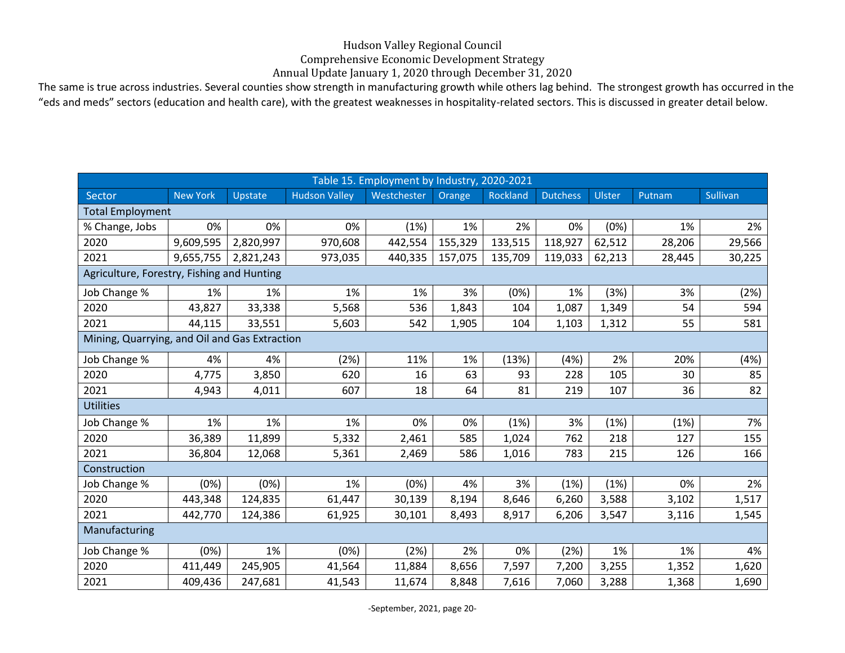## Hudson Valley Regional Council

Comprehensive Economic Development Strategy

Annual Update January 1, 2020 through December 31, 2020

The same is true across industries. Several counties show strength in manufacturing growth while others lag behind. The strongest growth has occurred in the "eds and meds" sectors (education and health care), with the greatest weaknesses in hospitality-related sectors. This is discussed in greater detail below.

|                                               |                 |           |                      | Table 15. Employment by Industry, 2020-2021 |         |          |                 |        |        |          |
|-----------------------------------------------|-----------------|-----------|----------------------|---------------------------------------------|---------|----------|-----------------|--------|--------|----------|
| Sector                                        | <b>New York</b> | Upstate   | <b>Hudson Valley</b> | Westchester                                 | Orange  | Rockland | <b>Dutchess</b> | Ulster | Putnam | Sullivan |
| <b>Total Employment</b>                       |                 |           |                      |                                             |         |          |                 |        |        |          |
| % Change, Jobs                                | 0%              | 0%        | 0%                   | (1%)                                        | 1%      | 2%       | 0%              | (0%)   | 1%     | 2%       |
| 2020                                          | 9,609,595       | 2,820,997 | 970,608              | 442,554                                     | 155,329 | 133,515  | 118,927         | 62,512 | 28,206 | 29,566   |
| 2021                                          | 9,655,755       | 2,821,243 | 973,035              | 440,335                                     | 157,075 | 135,709  | 119,033         | 62,213 | 28,445 | 30,225   |
| Agriculture, Forestry, Fishing and Hunting    |                 |           |                      |                                             |         |          |                 |        |        |          |
| Job Change %                                  | 1%              | 1%        | 1%                   | 1%                                          | 3%      | (0%)     | 1%              | (3%)   | 3%     | (2%)     |
| 2020                                          | 43,827          | 33,338    | 5,568                | 536                                         | 1,843   | 104      | 1,087           | 1,349  | 54     | 594      |
| 2021                                          | 44,115          | 33,551    | 5,603                | 542                                         | 1,905   | 104      | 1,103           | 1,312  | 55     | 581      |
| Mining, Quarrying, and Oil and Gas Extraction |                 |           |                      |                                             |         |          |                 |        |        |          |
| Job Change %                                  | 4%              | 4%        | (2%)                 | 11%                                         | 1%      | (13%)    | (4%)            | 2%     | 20%    | (4%)     |
| 2020                                          | 4,775           | 3,850     | 620                  | 16                                          | 63      | 93       | 228             | 105    | 30     | 85       |
| 2021                                          | 4,943           | 4,011     | 607                  | 18                                          | 64      | 81       | 219             | 107    | 36     | 82       |
| <b>Utilities</b>                              |                 |           |                      |                                             |         |          |                 |        |        |          |
| Job Change %                                  | 1%              | 1%        | 1%                   | 0%                                          | 0%      | (1%)     | 3%              | (1%)   | (1%)   | 7%       |
| 2020                                          | 36,389          | 11,899    | 5,332                | 2,461                                       | 585     | 1,024    | 762             | 218    | 127    | 155      |
| 2021                                          | 36,804          | 12,068    | 5,361                | 2,469                                       | 586     | 1,016    | 783             | 215    | 126    | 166      |
| Construction                                  |                 |           |                      |                                             |         |          |                 |        |        |          |
| Job Change %                                  | (0%)            | (0%)      | 1%                   | (0%)                                        | 4%      | 3%       | (1%)            | (1%)   | 0%     | 2%       |
| 2020                                          | 443,348         | 124,835   | 61,447               | 30,139                                      | 8,194   | 8,646    | 6,260           | 3,588  | 3,102  | 1,517    |
| 2021                                          | 442,770         | 124,386   | 61,925               | 30,101                                      | 8,493   | 8,917    | 6,206           | 3,547  | 3,116  | 1,545    |
| Manufacturing                                 |                 |           |                      |                                             |         |          |                 |        |        |          |
| Job Change %                                  | (0%)            | 1%        | (0%)                 | (2%)                                        | 2%      | 0%       | (2%)            | 1%     | 1%     | 4%       |
| 2020                                          | 411,449         | 245,905   | 41,564               | 11,884                                      | 8,656   | 7,597    | 7,200           | 3,255  | 1,352  | 1,620    |
| 2021                                          | 409,436         | 247,681   | 41,543               | 11,674                                      | 8,848   | 7,616    | 7,060           | 3,288  | 1,368  | 1,690    |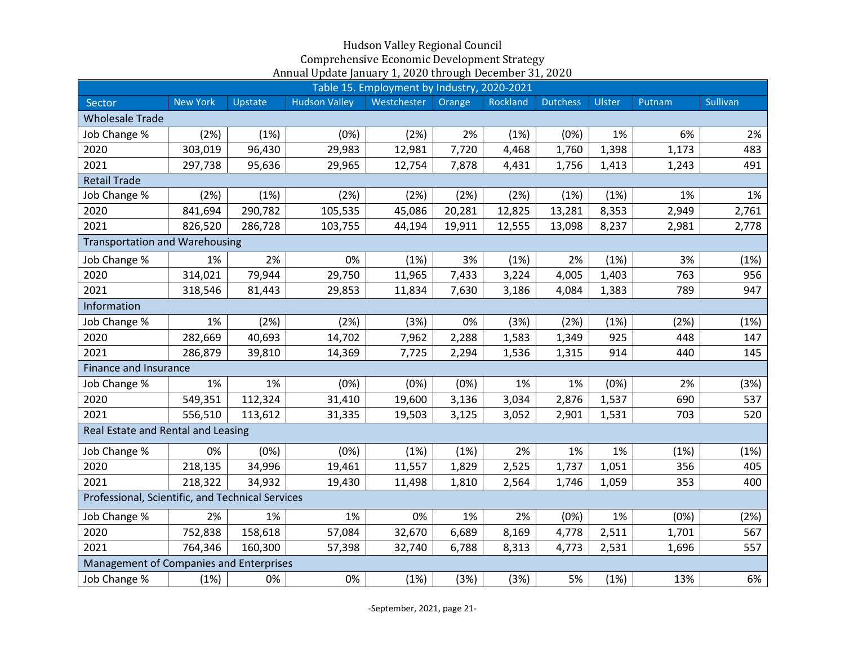|                                                  |                 |         |                      | Table 15. Employment by Industry, 2020-2021 |        |          |                 |        |        |          |
|--------------------------------------------------|-----------------|---------|----------------------|---------------------------------------------|--------|----------|-----------------|--------|--------|----------|
| Sector                                           | <b>New York</b> | Upstate | <b>Hudson Valley</b> | Westchester                                 | Orange | Rockland | <b>Dutchess</b> | Ulster | Putnam | Sullivan |
| <b>Wholesale Trade</b>                           |                 |         |                      |                                             |        |          |                 |        |        |          |
| Job Change %                                     | (2%)            | (1%)    | (0%)                 | (2%)                                        | 2%     | (1%)     | (0%)            | 1%     | 6%     | 2%       |
| 2020                                             | 303,019         | 96,430  | 29,983               | 12,981                                      | 7,720  | 4,468    | 1,760           | 1,398  | 1,173  | 483      |
| 2021                                             | 297,738         | 95,636  | 29,965               | 12,754                                      | 7,878  | 4,431    | 1,756           | 1,413  | 1,243  | 491      |
| <b>Retail Trade</b>                              |                 |         |                      |                                             |        |          |                 |        |        |          |
| Job Change %                                     | (2%)            | (1%)    | (2%)                 | (2%)                                        | (2%)   | (2%)     | (1%)            | (1%)   | 1%     | 1%       |
| 2020                                             | 841,694         | 290,782 | 105,535              | 45,086                                      | 20,281 | 12,825   | 13,281          | 8,353  | 2,949  | 2,761    |
| 2021                                             | 826,520         | 286,728 | 103,755              | 44,194                                      | 19,911 | 12,555   | 13,098          | 8,237  | 2,981  | 2,778    |
| <b>Transportation and Warehousing</b>            |                 |         |                      |                                             |        |          |                 |        |        |          |
| Job Change %                                     | 1%              | 2%      | 0%                   | (1%)                                        | 3%     | (1%)     | 2%              | (1%)   | 3%     | (1%)     |
| 2020                                             | 314,021         | 79,944  | 29,750               | 11,965                                      | 7,433  | 3,224    | 4,005           | 1,403  | 763    | 956      |
| 2021                                             | 318,546         | 81,443  | 29,853               | 11,834                                      | 7,630  | 3,186    | 4,084           | 1,383  | 789    | 947      |
| Information                                      |                 |         |                      |                                             |        |          |                 |        |        |          |
| Job Change %                                     | 1%              | (2%)    | (2%)                 | (3%)                                        | 0%     | (3%)     | (2%)            | (1%)   | (2%)   | (1%)     |
| 2020                                             | 282,669         | 40,693  | 14,702               | 7,962                                       | 2,288  | 1,583    | 1,349           | 925    | 448    | 147      |
| 2021                                             | 286,879         | 39,810  | 14,369               | 7,725                                       | 2,294  | 1,536    | 1,315           | 914    | 440    | 145      |
| Finance and Insurance                            |                 |         |                      |                                             |        |          |                 |        |        |          |
| Job Change %                                     | 1%              | 1%      | (0%)                 | (0%)                                        | (0%)   | 1%       | 1%              | (0%)   | 2%     | (3%)     |
| 2020                                             | 549,351         | 112,324 | 31,410               | 19,600                                      | 3,136  | 3,034    | 2,876           | 1,537  | 690    | 537      |
| 2021                                             | 556,510         | 113,612 | 31,335               | 19,503                                      | 3,125  | 3,052    | 2,901           | 1,531  | 703    | 520      |
| Real Estate and Rental and Leasing               |                 |         |                      |                                             |        |          |                 |        |        |          |
| Job Change %                                     | 0%              | (0%)    | (0%)                 | (1%)                                        | (1%)   | 2%       | 1%              | 1%     | (1%)   | (1%)     |
| 2020                                             | 218,135         | 34,996  | 19,461               | 11,557                                      | 1,829  | 2,525    | 1,737           | 1,051  | 356    | 405      |
| 2021                                             | 218,322         | 34,932  | 19,430               | 11,498                                      | 1,810  | 2,564    | 1,746           | 1,059  | 353    | 400      |
| Professional, Scientific, and Technical Services |                 |         |                      |                                             |        |          |                 |        |        |          |
| Job Change %                                     | 2%              | 1%      | 1%                   | 0%                                          | 1%     | 2%       | (0%)            | 1%     | (0%)   | (2%)     |
| 2020                                             | 752,838         | 158,618 | 57,084               | 32,670                                      | 6,689  | 8,169    | 4,778           | 2,511  | 1,701  | 567      |
| 2021                                             | 764,346         | 160,300 | 57,398               | 32,740                                      | 6,788  | 8,313    | 4,773           | 2,531  | 1,696  | 557      |
| Management of Companies and Enterprises          |                 |         |                      |                                             |        |          |                 |        |        |          |
| Job Change %                                     | (1%)            | 0%      | 0%                   | (1%)                                        | (3%)   | (3%)     | 5%              | (1%)   | 13%    | 6%       |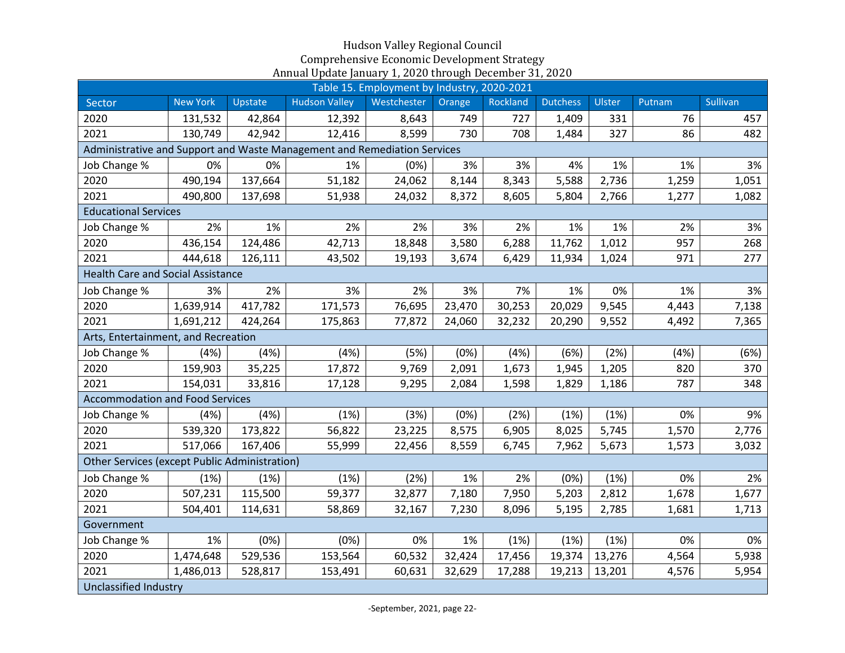|                                                                          |                                     |         |                      | Table 15. Employment by Industry, 2020-2021 |        |          |                 |        |        |          |
|--------------------------------------------------------------------------|-------------------------------------|---------|----------------------|---------------------------------------------|--------|----------|-----------------|--------|--------|----------|
| Sector                                                                   | <b>New York</b>                     | Upstate | <b>Hudson Valley</b> | Westchester                                 | Orange | Rockland | <b>Dutchess</b> | Ulster | Putnam | Sullivan |
| 2020                                                                     | 131,532                             | 42,864  | 12,392               | 8,643                                       | 749    | 727      | 1,409           | 331    | 76     | 457      |
| 2021                                                                     | 130,749                             | 42,942  | 12,416               | 8,599                                       | 730    | 708      | 1,484           | 327    | 86     | 482      |
| Administrative and Support and Waste Management and Remediation Services |                                     |         |                      |                                             |        |          |                 |        |        |          |
| Job Change %                                                             | 0%                                  | 0%      | 1%                   | (0%)                                        | 3%     | 3%       | 4%              | 1%     | 1%     | 3%       |
| 2020                                                                     | 490,194                             | 137,664 | 51,182               | 24,062                                      | 8,144  | 8,343    | 5,588           | 2,736  | 1,259  | 1,051    |
| 2021                                                                     | 490,800                             | 137,698 | 51,938               | 24,032                                      | 8,372  | 8,605    | 5,804           | 2,766  | 1,277  | 1,082    |
|                                                                          | <b>Educational Services</b>         |         |                      |                                             |        |          |                 |        |        |          |
| Job Change %                                                             | 2%                                  | 1%      | 2%                   | 2%                                          | 3%     | 2%       | 1%              | 1%     | 2%     | 3%       |
| 2020                                                                     | 436,154                             | 124,486 | 42,713               | 18,848                                      | 3,580  | 6,288    | 11,762          | 1,012  | 957    | 268      |
| 2021                                                                     | 444,618                             | 126,111 | 43,502               | 19,193                                      | 3,674  | 6,429    | 11,934          | 1,024  | 971    | 277      |
| <b>Health Care and Social Assistance</b>                                 |                                     |         |                      |                                             |        |          |                 |        |        |          |
| Job Change %                                                             | 3%                                  | 2%      | 3%                   | 2%                                          | 3%     | 7%       | 1%              | 0%     | 1%     | 3%       |
| 2020                                                                     | 1,639,914                           | 417,782 | 171,573              | 76,695                                      | 23,470 | 30,253   | 20,029          | 9,545  | 4,443  | 7,138    |
| 2021                                                                     | 1,691,212                           | 424,264 | 175,863              | 77,872                                      | 24,060 | 32,232   | 20,290          | 9,552  | 4,492  | 7,365    |
|                                                                          | Arts, Entertainment, and Recreation |         |                      |                                             |        |          |                 |        |        |          |
| Job Change %                                                             | (4%)                                | (4%)    | (4% )                | (5%)                                        | (0%)   | (4%)     | (6%)            | (2%)   | (4%)   | (6%)     |
| 2020                                                                     | 159,903                             | 35,225  | 17,872               | 9,769                                       | 2,091  | 1,673    | 1,945           | 1,205  | 820    | 370      |
| 2021                                                                     | 154,031                             | 33,816  | 17,128               | 9,295                                       | 2,084  | 1,598    | 1,829           | 1,186  | 787    | 348      |
| <b>Accommodation and Food Services</b>                                   |                                     |         |                      |                                             |        |          |                 |        |        |          |
| Job Change %                                                             | (4%)                                | (4%)    | (1%)                 | (3%)                                        | (0%)   | (2%)     | (1%)            | (1%)   | 0%     | 9%       |
| 2020                                                                     | 539,320                             | 173,822 | 56,822               | 23,225                                      | 8,575  | 6,905    | 8,025           | 5,745  | 1,570  | 2,776    |
| 2021                                                                     | 517,066                             | 167,406 | 55,999               | 22,456                                      | 8,559  | 6,745    | 7,962           | 5,673  | 1,573  | 3,032    |
| <b>Other Services (except Public Administration)</b>                     |                                     |         |                      |                                             |        |          |                 |        |        |          |
| Job Change %                                                             | (1%)                                | (1%)    | (1%)                 | (2%)                                        | 1%     | 2%       | (0%)            | (1%)   | 0%     | 2%       |
| 2020                                                                     | 507,231                             | 115,500 | 59,377               | 32,877                                      | 7,180  | 7,950    | 5,203           | 2,812  | 1,678  | 1,677    |
| 2021                                                                     | 504,401                             | 114,631 | 58,869               | 32,167                                      | 7,230  | 8,096    | 5,195           | 2,785  | 1,681  | 1,713    |
| Government                                                               |                                     |         |                      |                                             |        |          |                 |        |        |          |
| Job Change %                                                             | 1%                                  | (0%)    | (0%)                 | 0%                                          | 1%     | (1%)     | (1%)            | (1%)   | 0%     | 0%       |
| 2020                                                                     | 1,474,648                           | 529,536 | 153,564              | 60,532                                      | 32,424 | 17,456   | 19,374          | 13,276 | 4,564  | 5,938    |
| 2021                                                                     | 1,486,013                           | 528,817 | 153,491              | 60,631                                      | 32,629 | 17,288   | 19,213          | 13,201 | 4,576  | 5,954    |
| Unclassified Industry                                                    |                                     |         |                      |                                             |        |          |                 |        |        |          |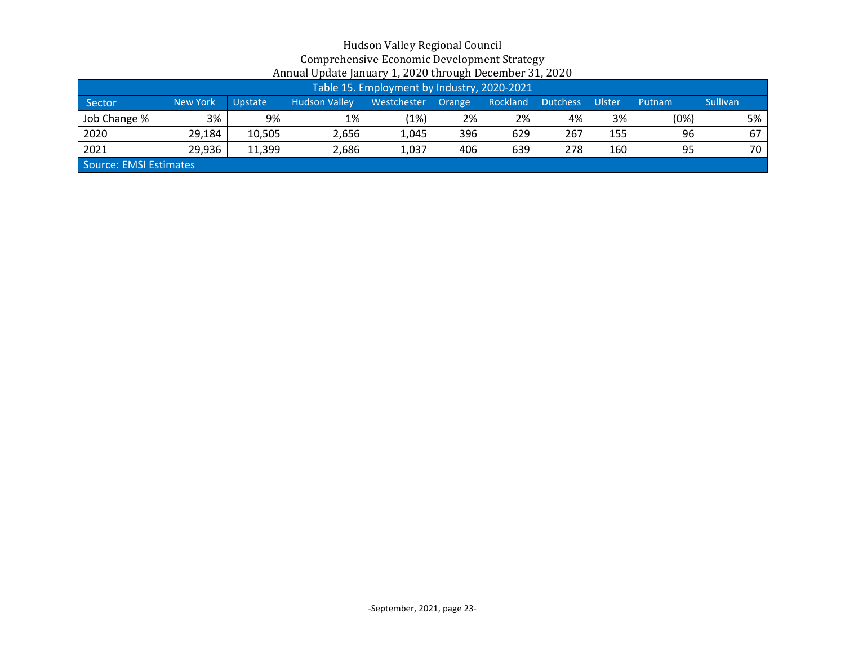|                        | Table 15. Employment by Industry, 2020-2021 |                |                      |                    |     |          |                 |        |        |                 |
|------------------------|---------------------------------------------|----------------|----------------------|--------------------|-----|----------|-----------------|--------|--------|-----------------|
| Sector                 | <b>New York</b>                             | <b>Upstate</b> | <b>Hudson Valley</b> | Westchester Orange |     | Rockland | <b>Dutchess</b> | Ulster | Putnam | <b>Sullivan</b> |
| Job Change %           | 3%                                          | 9%             | 1%                   | (1%)               | 2%  | 2%       | 4%              | 3%     | (%0    | 5%              |
| 2020                   | 29,184                                      | 10,505         | 2,656                | 1,045              | 396 | 629      | 267             | 155    | 96     | 67              |
| 2021                   | 29,936                                      | 11,399         | 2,686                | 1,037              | 406 | 639      | 278             | 160    | 95     | 70              |
| Source: EMSI Estimates |                                             |                |                      |                    |     |          |                 |        |        |                 |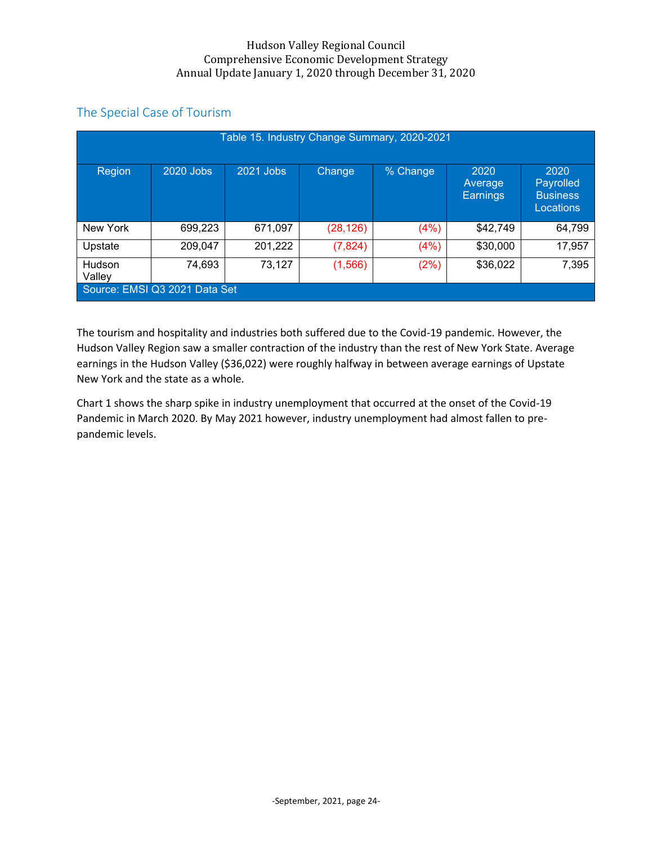## The Special Case of Tourism

|                  |                               |           |           | Table 15. Industry Change Summary, 2020-2021 |                                    |                                                   |
|------------------|-------------------------------|-----------|-----------|----------------------------------------------|------------------------------------|---------------------------------------------------|
| Region           | 2020 Jobs                     | 2021 Jobs | Change    | % Change                                     | 2020<br>Average<br><b>Earnings</b> | 2020<br>Payrolled<br><b>Business</b><br>Locations |
| New York         | 699,223                       | 671,097   | (28, 126) | (4%)                                         | \$42,749                           | 64,799                                            |
| Upstate          | 209,047                       | 201,222   | (7,824)   | (4%)                                         | \$30,000                           | 17,957                                            |
| Hudson<br>Valley | 74,693                        | 73,127    | (1, 566)  | (2%)                                         | \$36,022                           | 7,395                                             |
|                  | Source: EMSI Q3 2021 Data Set |           |           |                                              |                                    |                                                   |

The tourism and hospitality and industries both suffered due to the Covid-19 pandemic. However, the Hudson Valley Region saw a smaller contraction of the industry than the rest of New York State. Average earnings in the Hudson Valley (\$36,022) were roughly halfway in between average earnings of Upstate New York and the state as a whole.

Chart 1 shows the sharp spike in industry unemployment that occurred at the onset of the Covid-19 Pandemic in March 2020. By May 2021 however, industry unemployment had almost fallen to prepandemic levels.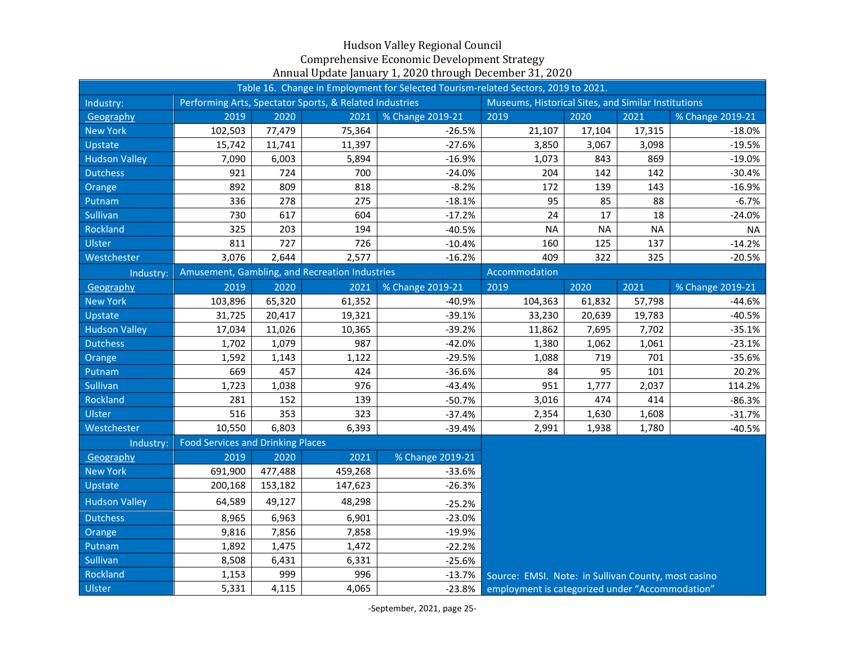|                      |                                          |         |                                                         | Table 16. Change in Employment for Selected Tourism-related Sectors, 2019 to 2021. |                                                     |           |           |                  |
|----------------------|------------------------------------------|---------|---------------------------------------------------------|------------------------------------------------------------------------------------|-----------------------------------------------------|-----------|-----------|------------------|
| Industry:            |                                          |         | Performing Arts, Spectator Sports, & Related Industries |                                                                                    | Museums, Historical Sites, and Similar Institutions |           |           |                  |
| Geography            | 2019                                     | 2020    | 2021                                                    | % Change 2019-21                                                                   | 2019                                                | 2020      | 2021      | % Change 2019-21 |
| <b>New York</b>      | 102,503                                  | 77,479  | 75,364                                                  | $-26.5%$                                                                           | 21,107                                              | 17,104    | 17,315    | $-18.0%$         |
| Upstate              | 15,742                                   | 11,741  | 11,397                                                  | $-27.6%$                                                                           | 3,850                                               | 3,067     | 3,098     | $-19.5%$         |
| <b>Hudson Valley</b> | 7,090                                    | 6,003   | 5,894                                                   | $-16.9%$                                                                           | 1,073                                               | 843       | 869       | $-19.0%$         |
| <b>Dutchess</b>      | 921                                      | 724     | 700                                                     | $-24.0%$                                                                           | 204                                                 | 142       | 142       | $-30.4%$         |
| Orange               | 892                                      | 809     | 818                                                     | $-8.2%$                                                                            | 172                                                 | 139       | 143       | $-16.9%$         |
| Putnam               | 336                                      | 278     | 275                                                     | $-18.1%$                                                                           | 95                                                  | 85        | 88        | $-6.7%$          |
| Sullivan             | 730                                      | 617     | 604                                                     | $-17.2%$                                                                           | 24                                                  | 17        | 18        | $-24.0%$         |
| Rockland             | 325                                      | 203     | 194                                                     | $-40.5%$                                                                           | <b>NA</b>                                           | <b>NA</b> | <b>NA</b> | <b>NA</b>        |
| Ulster               | 811                                      | 727     | 726                                                     | $-10.4%$                                                                           | 160                                                 | 125       | 137       | $-14.2%$         |
| Westchester          | 3,076                                    | 2,644   | 2,577                                                   | $-16.2%$                                                                           | 409                                                 | 322       | 325       | $-20.5%$         |
| Industry:            |                                          |         | Amusement, Gambling, and Recreation Industries          |                                                                                    | Accommodation                                       |           |           |                  |
| Geography            | 2019                                     | 2020    | 2021                                                    | % Change 2019-21                                                                   | 2019                                                | 2020      | 2021      | % Change 2019-21 |
| <b>New York</b>      | 103,896                                  | 65,320  | 61,352                                                  | $-40.9%$                                                                           | 104,363                                             | 61,832    | 57,798    | -44.6%           |
| Upstate              | 31,725                                   | 20,417  | 19,321                                                  | $-39.1%$                                                                           | 33,230                                              | 20,639    | 19,783    | $-40.5%$         |
| <b>Hudson Valley</b> | 17,034                                   | 11,026  | 10,365                                                  | $-39.2%$                                                                           | 11,862                                              | 7,695     | 7,702     | $-35.1%$         |
| <b>Dutchess</b>      | 1,702                                    | 1,079   | 987                                                     | $-42.0%$                                                                           | 1,380                                               | 1,062     | 1,061     | $-23.1%$         |
| Orange               | 1,592                                    | 1,143   | 1,122                                                   | $-29.5%$                                                                           | 1,088                                               | 719       | 701       | $-35.6%$         |
| Putnam               | 669                                      | 457     | 424                                                     | $-36.6%$                                                                           | 84                                                  | 95        | 101       | 20.2%            |
| Sullivan             | 1,723                                    | 1,038   | 976                                                     | $-43.4%$                                                                           | 951                                                 | 1,777     | 2,037     | 114.2%           |
| Rockland             | 281                                      | 152     | 139                                                     | $-50.7%$                                                                           | 3,016                                               | 474       | 414       | $-86.3%$         |
| Ulster               | 516                                      | 353     | 323                                                     | $-37.4%$                                                                           | 2,354                                               | 1,630     | 1,608     | $-31.7%$         |
| Westchester          | 10,550                                   | 6,803   | 6,393                                                   | $-39.4%$                                                                           | 2,991                                               | 1,938     | 1,780     | $-40.5%$         |
| Industry:            | <b>Food Services and Drinking Places</b> |         |                                                         |                                                                                    |                                                     |           |           |                  |
| Geography            | 2019                                     | 2020    | 2021                                                    | % Change 2019-21                                                                   |                                                     |           |           |                  |
| <b>New York</b>      | 691,900                                  | 477,488 | 459,268                                                 | $-33.6%$                                                                           |                                                     |           |           |                  |
| Upstate              | 200,168                                  | 153,182 | 147,623                                                 | $-26.3%$                                                                           |                                                     |           |           |                  |
| <b>Hudson Valley</b> | 64,589                                   | 49,127  | 48,298                                                  | $-25.2%$                                                                           |                                                     |           |           |                  |
| <b>Dutchess</b>      | 8,965                                    | 6,963   | 6,901                                                   | $-23.0%$                                                                           |                                                     |           |           |                  |
| Orange               | 9,816                                    | 7,856   | 7,858                                                   | $-19.9%$                                                                           |                                                     |           |           |                  |
| Putnam               | 1,892                                    | 1,475   | 1,472                                                   | $-22.2%$                                                                           |                                                     |           |           |                  |
| Sullivan             | 8,508                                    | 6,431   | 6,331                                                   | $-25.6%$                                                                           |                                                     |           |           |                  |
| Rockland             | 1,153                                    | 999     | 996                                                     | $-13.7%$                                                                           | Source: EMSI. Note: in Sullivan County, most casino |           |           |                  |
| Ulster               | 5,331                                    | 4,115   | 4,065                                                   | $-23.8%$                                                                           | employment is categorized under "Accommodation"     |           |           |                  |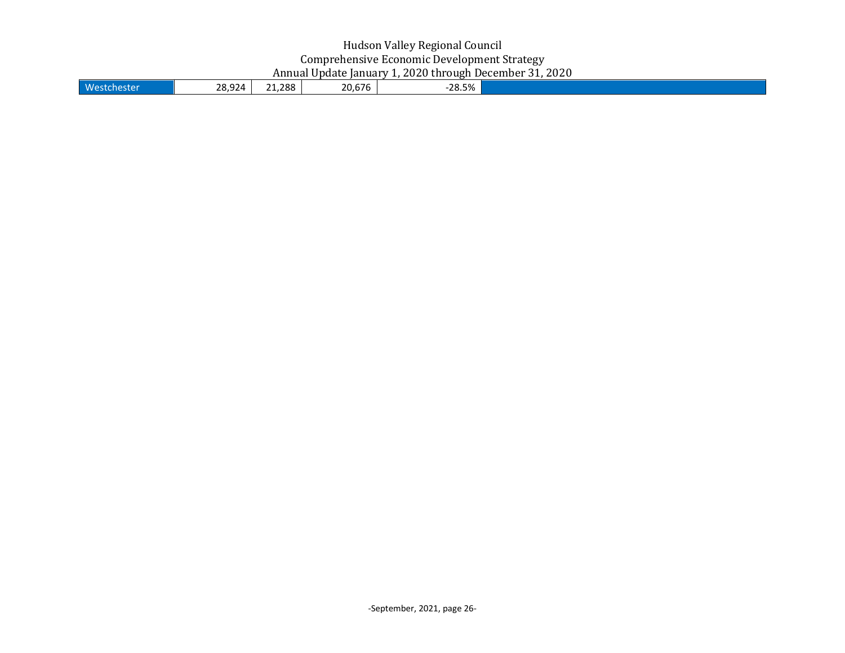| 20.676<br>1.288<br><b>West</b><br>≏∩ סר<br>$-28.5%$<br>ີ<br>474<br>$\sim$ $\sim$<br>- - - - |  |
|---------------------------------------------------------------------------------------------|--|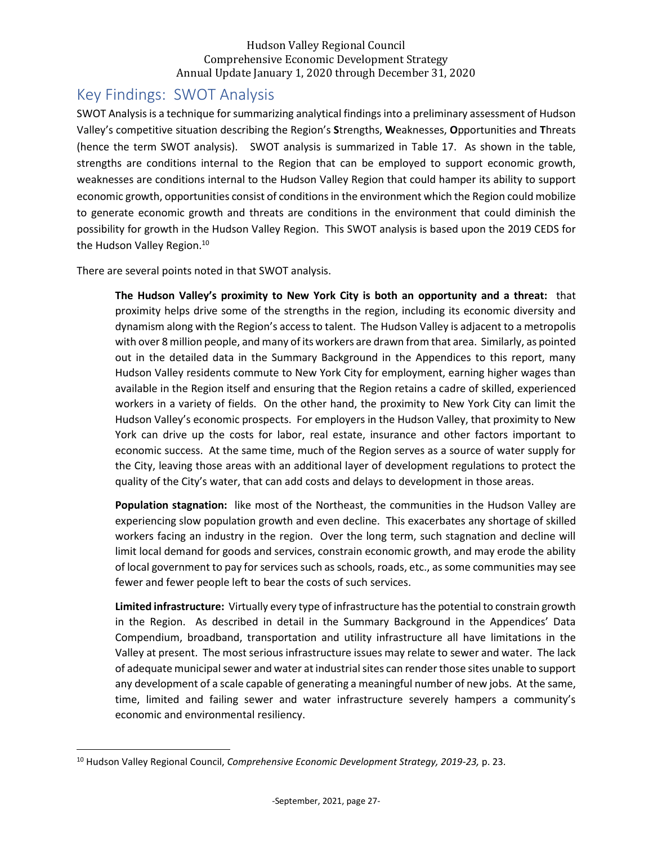# <span id="page-27-0"></span>Key Findings: SWOT Analysis

SWOT Analysis is a technique for summarizing analytical findings into a preliminary assessment of Hudson Valley's competitive situation describing the Region's **S**trengths, **W**eaknesses, **O**pportunities and **T**hreats (hence the term SWOT analysis). SWOT analysis is summarized in Table 17. As shown in the table, strengths are conditions internal to the Region that can be employed to support economic growth, weaknesses are conditions internal to the Hudson Valley Region that could hamper its ability to support economic growth, opportunities consist of conditions in the environment which the Region could mobilize to generate economic growth and threats are conditions in the environment that could diminish the possibility for growth in the Hudson Valley Region. This SWOT analysis is based upon the 2019 CEDS for the Hudson Valley Region.<sup>10</sup>

There are several points noted in that SWOT analysis.

**The Hudson Valley's proximity to New York City is both an opportunity and a threat:** that proximity helps drive some of the strengths in the region, including its economic diversity and dynamism along with the Region's access to talent. The Hudson Valley is adjacent to a metropolis with over 8 million people, and many of its workers are drawn from that area. Similarly, as pointed out in the detailed data in the Summary Background in the Appendices to this report, many Hudson Valley residents commute to New York City for employment, earning higher wages than available in the Region itself and ensuring that the Region retains a cadre of skilled, experienced workers in a variety of fields. On the other hand, the proximity to New York City can limit the Hudson Valley's economic prospects. For employers in the Hudson Valley, that proximity to New York can drive up the costs for labor, real estate, insurance and other factors important to economic success. At the same time, much of the Region serves as a source of water supply for the City, leaving those areas with an additional layer of development regulations to protect the quality of the City's water, that can add costs and delays to development in those areas.

**Population stagnation:** like most of the Northeast, the communities in the Hudson Valley are experiencing slow population growth and even decline. This exacerbates any shortage of skilled workers facing an industry in the region. Over the long term, such stagnation and decline will limit local demand for goods and services, constrain economic growth, and may erode the ability of local government to pay for services such as schools, roads, etc., as some communities may see fewer and fewer people left to bear the costs of such services.

**Limited infrastructure:** Virtually every type of infrastructure has the potential to constrain growth in the Region. As described in detail in the Summary Background in the Appendices' Data Compendium, broadband, transportation and utility infrastructure all have limitations in the Valley at present. The most serious infrastructure issues may relate to sewer and water. The lack of adequate municipal sewer and water at industrial sites can render those sites unable to support any development of a scale capable of generating a meaningful number of new jobs. At the same, time, limited and failing sewer and water infrastructure severely hampers a community's economic and environmental resiliency.

<sup>10</sup> Hudson Valley Regional Council, *Comprehensive Economic Development Strategy, 2019-23,* p. 23.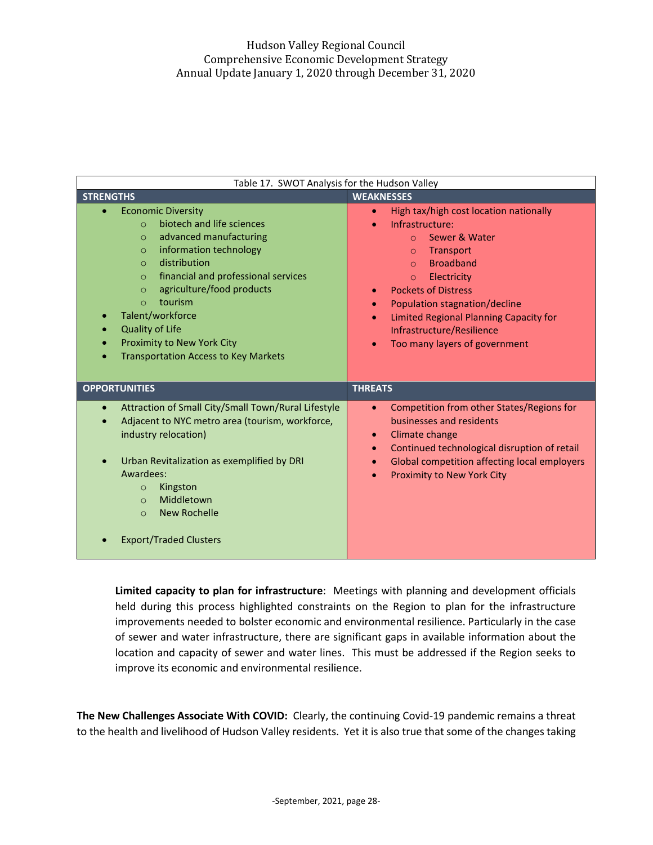| Table 17. SWOT Analysis for the Hudson Valley                                                                                                                                                                                                                                                                                                                                                                         |                                                                                                                                                                                                                                                                                                                                                                                                     |
|-----------------------------------------------------------------------------------------------------------------------------------------------------------------------------------------------------------------------------------------------------------------------------------------------------------------------------------------------------------------------------------------------------------------------|-----------------------------------------------------------------------------------------------------------------------------------------------------------------------------------------------------------------------------------------------------------------------------------------------------------------------------------------------------------------------------------------------------|
| <b>STRENGTHS</b>                                                                                                                                                                                                                                                                                                                                                                                                      | <b>WEAKNESSES</b>                                                                                                                                                                                                                                                                                                                                                                                   |
| <b>Economic Diversity</b><br>biotech and life sciences<br>$\Omega$<br>advanced manufacturing<br>$\circ$<br>information technology<br>$\circ$<br>distribution<br>$\Omega$<br>financial and professional services<br>$\circ$<br>agriculture/food products<br>$\Omega$<br>tourism<br>$\Omega$<br>Talent/workforce<br><b>Quality of Life</b><br>Proximity to New York City<br><b>Transportation Access to Key Markets</b> | High tax/high cost location nationally<br>$\bullet$<br>Infrastructure:<br>$\bullet$<br>Sewer & Water<br>$\Omega$<br>Transport<br>$\circ$<br><b>Broadband</b><br>$\Omega$<br>Electricity<br>$\circ$<br><b>Pockets of Distress</b><br>$\bullet$<br>Population stagnation/decline<br>Limited Regional Planning Capacity for<br>$\bullet$<br>Infrastructure/Resilience<br>Too many layers of government |
| <b>OPPORTUNITIES</b>                                                                                                                                                                                                                                                                                                                                                                                                  | <b>THREATS</b>                                                                                                                                                                                                                                                                                                                                                                                      |
| Attraction of Small City/Small Town/Rural Lifestyle<br>$\bullet$<br>Adjacent to NYC metro area (tourism, workforce,<br>industry relocation)<br>Urban Revitalization as exemplified by DRI<br>Awardees:<br>Kingston<br>$\circ$<br>Middletown<br>$\Omega$<br><b>New Rochelle</b><br>$\Omega$<br><b>Export/Traded Clusters</b>                                                                                           | Competition from other States/Regions for<br>$\bullet$<br>businesses and residents<br>Climate change<br>$\bullet$<br>Continued technological disruption of retail<br>$\bullet$<br>Global competition affecting local employers<br>Proximity to New York City                                                                                                                                        |

**Limited capacity to plan for infrastructure**: Meetings with planning and development officials held during this process highlighted constraints on the Region to plan for the infrastructure improvements needed to bolster economic and environmental resilience. Particularly in the case of sewer and water infrastructure, there are significant gaps in available information about the location and capacity of sewer and water lines. This must be addressed if the Region seeks to improve its economic and environmental resilience.

**The New Challenges Associate With COVID:** Clearly, the continuing Covid-19 pandemic remains a threat to the health and livelihood of Hudson Valley residents. Yet it is also true that some of the changes taking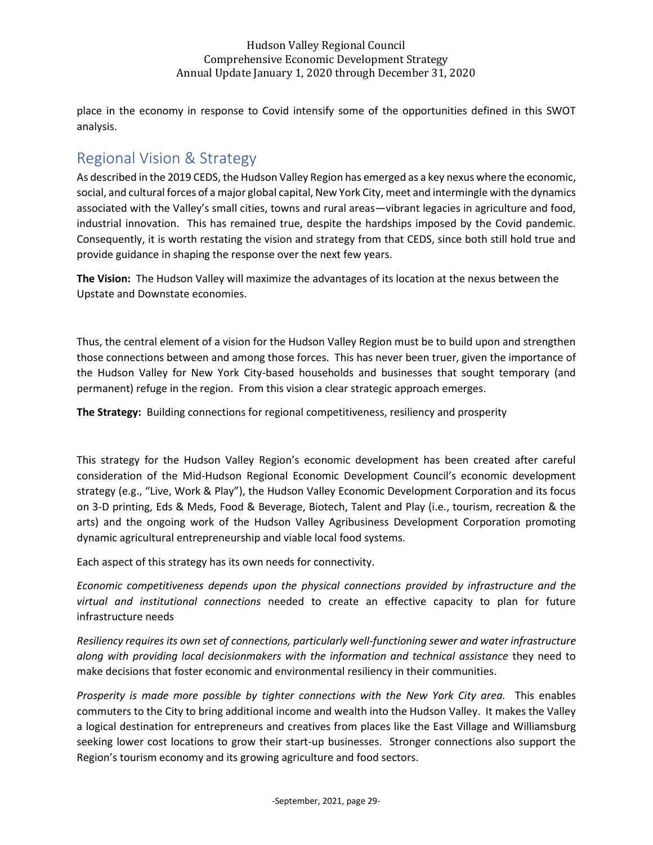place in the economy in response to Covid intensify some of the opportunities defined in this SWOT analysis.

# <span id="page-29-0"></span>Regional Vision & Strategy

As described in the 2019 CEDS, the Hudson Valley Region has emerged as a key nexus where the economic, social, and cultural forces of a major global capital, New York City, meet and intermingle with the dynamics associated with the Valley's small cities, towns and rural areas—vibrant legacies in agriculture and food, industrial innovation. This has remained true, despite the hardships imposed by the Covid pandemic. Consequently, it is worth restating the vision and strategy from that CEDS, since both still hold true and provide guidance in shaping the response over the next few years.

**The Vision:** The Hudson Valley will maximize the advantages of its location at the nexus between the Upstate and Downstate economies.

Thus, the central element of a vision for the Hudson Valley Region must be to build upon and strengthen those connections between and among those forces. This has never been truer, given the importance of the Hudson Valley for New York City-based households and businesses that sought temporary (and permanent) refuge in the region. From this vision a clear strategic approach emerges.

**The Strategy:** Building connections for regional competitiveness, resiliency and prosperity

This strategy for the Hudson Valley Region's economic development has been created after careful consideration of the Mid-Hudson Regional Economic Development Council's economic development strategy (e.g., "Live, Work & Play"), the Hudson Valley Economic Development Corporation and its focus on 3-D printing, Eds & Meds, Food & Beverage, Biotech, Talent and Play (i.e., tourism, recreation & the arts) and the ongoing work of the Hudson Valley Agribusiness Development Corporation promoting dynamic agricultural entrepreneurship and viable local food systems.

Each aspect of this strategy has its own needs for connectivity.

*Economic competitiveness depends upon the physical connections provided by infrastructure and the virtual and institutional connections* needed to create an effective capacity to plan for future infrastructure needs

*Resiliency requires its own set of connections, particularly well-functioning sewer and water infrastructure along with providing local decisionmakers with the information and technical assistance* they need to make decisions that foster economic and environmental resiliency in their communities.

*Prosperity is made more possible by tighter connections with the New York City area.* This enables commuters to the City to bring additional income and wealth into the Hudson Valley. It makes the Valley a logical destination for entrepreneurs and creatives from places like the East Village and Williamsburg seeking lower cost locations to grow their start-up businesses. Stronger connections also support the Region's tourism economy and its growing agriculture and food sectors.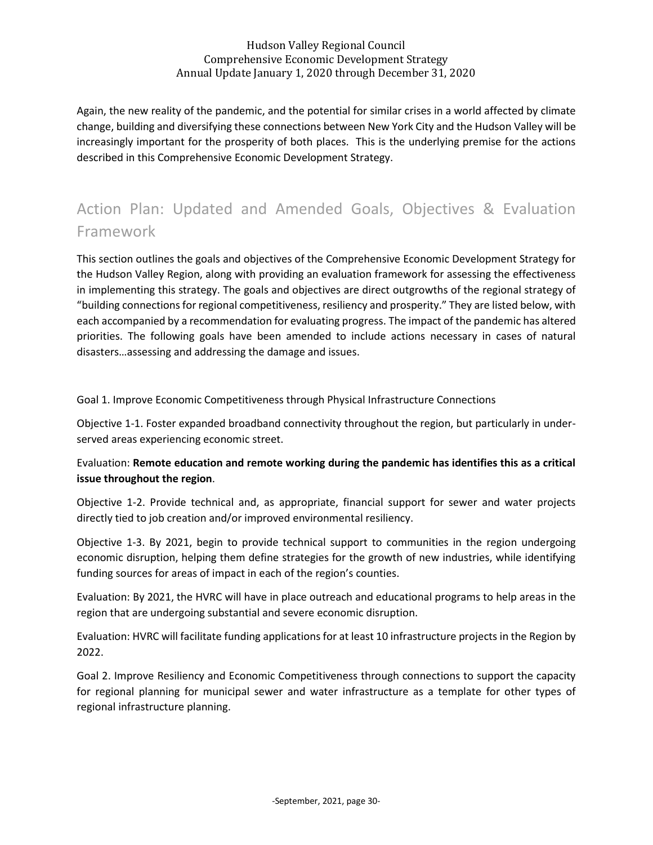Again, the new reality of the pandemic, and the potential for similar crises in a world affected by climate change, building and diversifying these connections between New York City and the Hudson Valley will be increasingly important for the prosperity of both places. This is the underlying premise for the actions described in this Comprehensive Economic Development Strategy.

# Action Plan: Updated and Amended Goals, Objectives & Evaluation Framework

This section outlines the goals and objectives of the Comprehensive Economic Development Strategy for the Hudson Valley Region, along with providing an evaluation framework for assessing the effectiveness in implementing this strategy. The goals and objectives are direct outgrowths of the regional strategy of "building connections for regional competitiveness, resiliency and prosperity." They are listed below, with each accompanied by a recommendation for evaluating progress. The impact of the pandemic has altered priorities. The following goals have been amended to include actions necessary in cases of natural disasters…assessing and addressing the damage and issues.

### Goal 1. Improve Economic Competitiveness through Physical Infrastructure Connections

Objective 1-1. Foster expanded broadband connectivity throughout the region, but particularly in underserved areas experiencing economic street.

## Evaluation: **Remote education and remote working during the pandemic has identifies this as a critical issue throughout the region**.

Objective 1-2. Provide technical and, as appropriate, financial support for sewer and water projects directly tied to job creation and/or improved environmental resiliency.

Objective 1-3. By 2021, begin to provide technical support to communities in the region undergoing economic disruption, helping them define strategies for the growth of new industries, while identifying funding sources for areas of impact in each of the region's counties.

Evaluation: By 2021, the HVRC will have in place outreach and educational programs to help areas in the region that are undergoing substantial and severe economic disruption.

Evaluation: HVRC will facilitate funding applications for at least 10 infrastructure projects in the Region by 2022.

Goal 2. Improve Resiliency and Economic Competitiveness through connections to support the capacity for regional planning for municipal sewer and water infrastructure as a template for other types of regional infrastructure planning.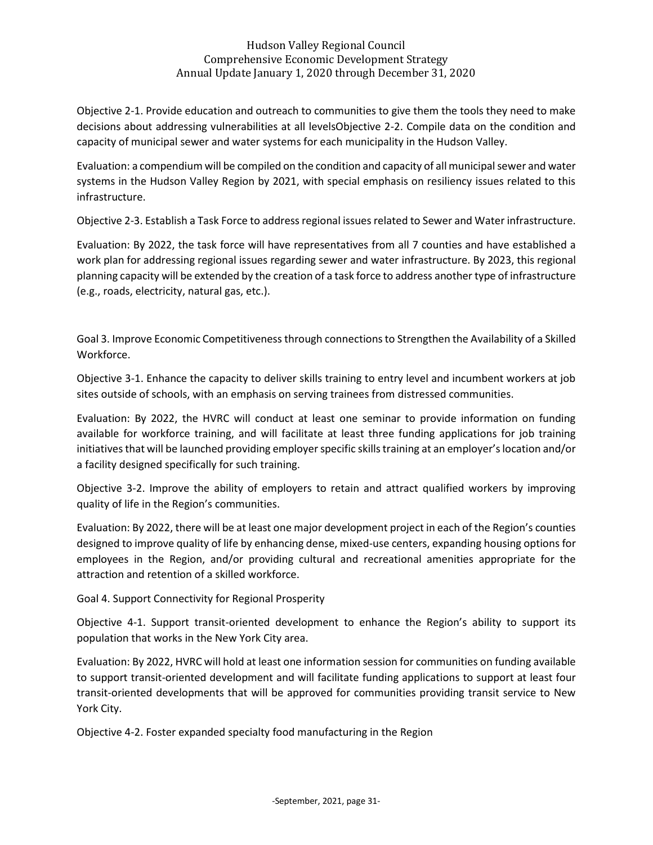Objective 2-1. Provide education and outreach to communities to give them the tools they need to make decisions about addressing vulnerabilities at all levelsObjective 2-2. Compile data on the condition and capacity of municipal sewer and water systems for each municipality in the Hudson Valley.

Evaluation: a compendium will be compiled on the condition and capacity of all municipal sewer and water systems in the Hudson Valley Region by 2021, with special emphasis on resiliency issues related to this infrastructure.

Objective 2-3. Establish a Task Force to address regional issues related to Sewer and Water infrastructure.

Evaluation: By 2022, the task force will have representatives from all 7 counties and have established a work plan for addressing regional issues regarding sewer and water infrastructure. By 2023, this regional planning capacity will be extended by the creation of a task force to address another type of infrastructure (e.g., roads, electricity, natural gas, etc.).

Goal 3. Improve Economic Competitiveness through connections to Strengthen the Availability of a Skilled Workforce.

Objective 3-1. Enhance the capacity to deliver skills training to entry level and incumbent workers at job sites outside of schools, with an emphasis on serving trainees from distressed communities.

Evaluation: By 2022, the HVRC will conduct at least one seminar to provide information on funding available for workforce training, and will facilitate at least three funding applications for job training initiatives that will be launched providing employer specific skills training at an employer's location and/or a facility designed specifically for such training.

Objective 3-2. Improve the ability of employers to retain and attract qualified workers by improving quality of life in the Region's communities.

Evaluation: By 2022, there will be at least one major development project in each of the Region's counties designed to improve quality of life by enhancing dense, mixed-use centers, expanding housing options for employees in the Region, and/or providing cultural and recreational amenities appropriate for the attraction and retention of a skilled workforce.

Goal 4. Support Connectivity for Regional Prosperity

Objective 4-1. Support transit-oriented development to enhance the Region's ability to support its population that works in the New York City area.

Evaluation: By 2022, HVRC will hold at least one information session for communities on funding available to support transit-oriented development and will facilitate funding applications to support at least four transit-oriented developments that will be approved for communities providing transit service to New York City.

Objective 4-2. Foster expanded specialty food manufacturing in the Region